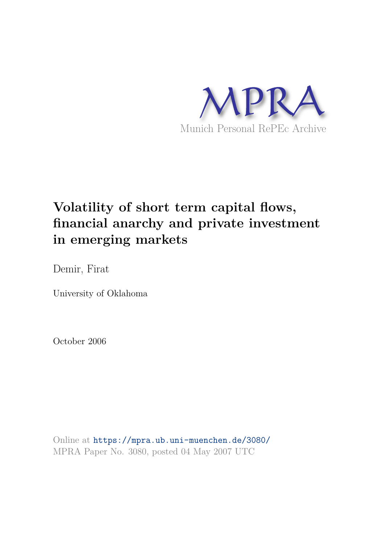

# **Volatility of short term capital flows, financial anarchy and private investment in emerging markets**

Demir, Firat

University of Oklahoma

October 2006

Online at https://mpra.ub.uni-muenchen.de/3080/ MPRA Paper No. 3080, posted 04 May 2007 UTC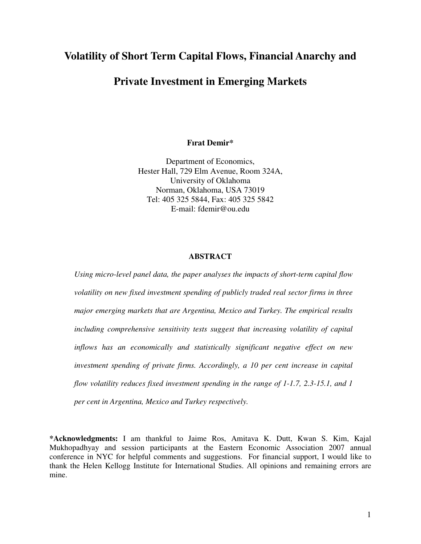# **Volatility of Short Term Capital Flows, Financial Anarchy and**

# **Private Investment in Emerging Markets**

# **Fırat Demir\***

Department of Economics, Hester Hall, 729 Elm Avenue, Room 324A, University of Oklahoma Norman, Oklahoma, USA 73019 Tel: 405 325 5844, Fax: 405 325 5842 E-mail: fdemir@ou.edu

# **ABSTRACT**

*Using micro-level panel data, the paper analyses the impacts of short-term capital flow volatility on new fixed investment spending of publicly traded real sector firms in three major emerging markets that are Argentina, Mexico and Turkey. The empirical results including comprehensive sensitivity tests suggest that increasing volatility of capital inflows has an economically and statistically significant negative effect on new investment spending of private firms. Accordingly, a 10 per cent increase in capital flow volatility reduces fixed investment spending in the range of 1-1.7, 2.3-15.1, and 1 per cent in Argentina, Mexico and Turkey respectively.* 

**\*Acknowledgments:** I am thankful to Jaime Ros, Amitava K. Dutt, Kwan S. Kim, Kajal Mukhopadhyay and session participants at the Eastern Economic Association 2007 annual conference in NYC for helpful comments and suggestions. For financial support, I would like to thank the Helen Kellogg Institute for International Studies. All opinions and remaining errors are mine.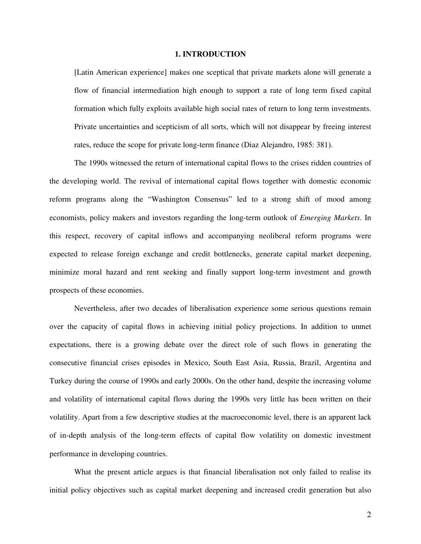## **1. INTRODUCTION**

[Latin American experience] makes one sceptical that private markets alone will generate a flow of financial intermediation high enough to support a rate of long term fixed capital formation which fully exploits available high social rates of return to long term investments. Private uncertainties and scepticism of all sorts, which will not disappear by freeing interest rates, reduce the scope for private long-term finance (Diaz Alejandro, 1985: 381).

The 1990s witnessed the return of international capital flows to the crises ridden countries of the developing world. The revival of international capital flows together with domestic economic reform programs along the "Washington Consensus" led to a strong shift of mood among economists, policy makers and investors regarding the long-term outlook of *Emerging Markets*. In this respect, recovery of capital inflows and accompanying neoliberal reform programs were expected to release foreign exchange and credit bottlenecks, generate capital market deepening, minimize moral hazard and rent seeking and finally support long-term investment and growth prospects of these economies.

Nevertheless, after two decades of liberalisation experience some serious questions remain over the capacity of capital flows in achieving initial policy projections. In addition to unmet expectations, there is a growing debate over the direct role of such flows in generating the consecutive financial crises episodes in Mexico, South East Asia, Russia, Brazil, Argentina and Turkey during the course of 1990s and early 2000s. On the other hand, despite the increasing volume and volatility of international capital flows during the 1990s very little has been written on their volatility. Apart from a few descriptive studies at the macroeconomic level, there is an apparent lack of in-depth analysis of the long-term effects of capital flow volatility on domestic investment performance in developing countries.

What the present article argues is that financial liberalisation not only failed to realise its initial policy objectives such as capital market deepening and increased credit generation but also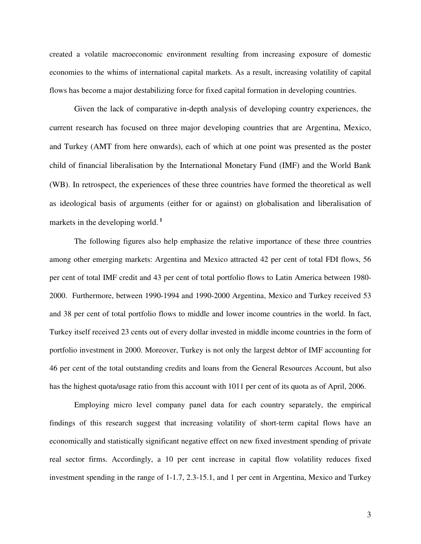created a volatile macroeconomic environment resulting from increasing exposure of domestic economies to the whims of international capital markets. As a result, increasing volatility of capital flows has become a major destabilizing force for fixed capital formation in developing countries.

Given the lack of comparative in-depth analysis of developing country experiences, the current research has focused on three major developing countries that are Argentina, Mexico, and Turkey (AMT from here onwards), each of which at one point was presented as the poster child of financial liberalisation by the International Monetary Fund (IMF) and the World Bank (WB). In retrospect, the experiences of these three countries have formed the theoretical as well as ideological basis of arguments (either for or against) on globalisation and liberalisation of markets in the developing world.**<sup>1</sup>**

The following figures also help emphasize the relative importance of these three countries among other emerging markets: Argentina and Mexico attracted 42 per cent of total FDI flows, 56 per cent of total IMF credit and 43 per cent of total portfolio flows to Latin America between 1980- 2000. Furthermore, between 1990-1994 and 1990-2000 Argentina, Mexico and Turkey received 53 and 38 per cent of total portfolio flows to middle and lower income countries in the world. In fact, Turkey itself received 23 cents out of every dollar invested in middle income countries in the form of portfolio investment in 2000. Moreover, Turkey is not only the largest debtor of IMF accounting for 46 per cent of the total outstanding credits and loans from the General Resources Account, but also has the highest quota/usage ratio from this account with 1011 per cent of its quota as of April, 2006.

Employing micro level company panel data for each country separately, the empirical findings of this research suggest that increasing volatility of short-term capital flows have an economically and statistically significant negative effect on new fixed investment spending of private real sector firms. Accordingly, a 10 per cent increase in capital flow volatility reduces fixed investment spending in the range of 1-1.7, 2.3-15.1, and 1 per cent in Argentina, Mexico and Turkey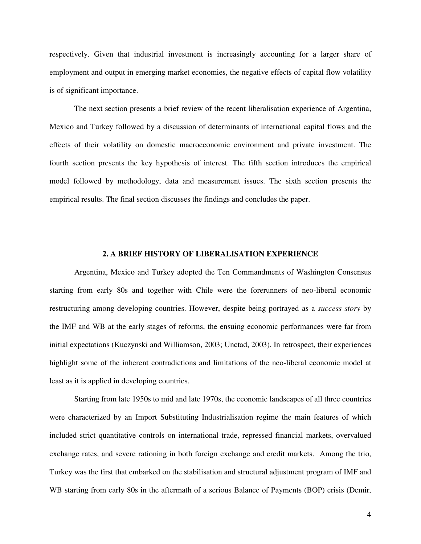respectively. Given that industrial investment is increasingly accounting for a larger share of employment and output in emerging market economies, the negative effects of capital flow volatility is of significant importance.

The next section presents a brief review of the recent liberalisation experience of Argentina, Mexico and Turkey followed by a discussion of determinants of international capital flows and the effects of their volatility on domestic macroeconomic environment and private investment. The fourth section presents the key hypothesis of interest. The fifth section introduces the empirical model followed by methodology, data and measurement issues. The sixth section presents the empirical results. The final section discusses the findings and concludes the paper.

### **2. A BRIEF HISTORY OF LIBERALISATION EXPERIENCE**

Argentina, Mexico and Turkey adopted the Ten Commandments of Washington Consensus starting from early 80s and together with Chile were the forerunners of neo-liberal economic restructuring among developing countries. However, despite being portrayed as a *success story* by the IMF and WB at the early stages of reforms, the ensuing economic performances were far from initial expectations (Kuczynski and Williamson, 2003; Unctad, 2003). In retrospect, their experiences highlight some of the inherent contradictions and limitations of the neo-liberal economic model at least as it is applied in developing countries.

Starting from late 1950s to mid and late 1970s, the economic landscapes of all three countries were characterized by an Import Substituting Industrialisation regime the main features of which included strict quantitative controls on international trade, repressed financial markets, overvalued exchange rates, and severe rationing in both foreign exchange and credit markets. Among the trio, Turkey was the first that embarked on the stabilisation and structural adjustment program of IMF and WB starting from early 80s in the aftermath of a serious Balance of Payments (BOP) crisis (Demir,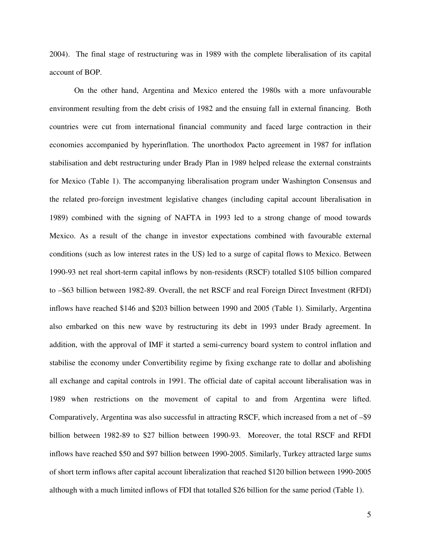2004). The final stage of restructuring was in 1989 with the complete liberalisation of its capital account of BOP.

On the other hand, Argentina and Mexico entered the 1980s with a more unfavourable environment resulting from the debt crisis of 1982 and the ensuing fall in external financing. Both countries were cut from international financial community and faced large contraction in their economies accompanied by hyperinflation. The unorthodox Pacto agreement in 1987 for inflation stabilisation and debt restructuring under Brady Plan in 1989 helped release the external constraints for Mexico (Table 1). The accompanying liberalisation program under Washington Consensus and the related pro-foreign investment legislative changes (including capital account liberalisation in 1989) combined with the signing of NAFTA in 1993 led to a strong change of mood towards Mexico. As a result of the change in investor expectations combined with favourable external conditions (such as low interest rates in the US) led to a surge of capital flows to Mexico. Between 1990-93 net real short-term capital inflows by non-residents (RSCF) totalled \$105 billion compared to –\$63 billion between 1982-89. Overall, the net RSCF and real Foreign Direct Investment (RFDI) inflows have reached \$146 and \$203 billion between 1990 and 2005 (Table 1). Similarly, Argentina also embarked on this new wave by restructuring its debt in 1993 under Brady agreement. In addition, with the approval of IMF it started a semi-currency board system to control inflation and stabilise the economy under Convertibility regime by fixing exchange rate to dollar and abolishing all exchange and capital controls in 1991. The official date of capital account liberalisation was in 1989 when restrictions on the movement of capital to and from Argentina were lifted. Comparatively, Argentina was also successful in attracting RSCF, which increased from a net of –\$9 billion between 1982-89 to \$27 billion between 1990-93. Moreover, the total RSCF and RFDI inflows have reached \$50 and \$97 billion between 1990-2005. Similarly, Turkey attracted large sums of short term inflows after capital account liberalization that reached \$120 billion between 1990-2005 although with a much limited inflows of FDI that totalled \$26 billion for the same period (Table 1).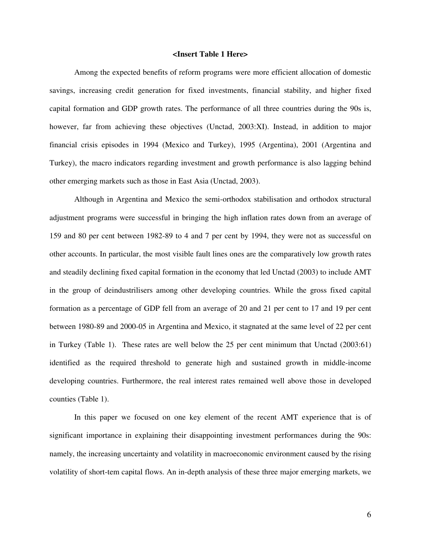## **<Insert Table 1 Here>**

Among the expected benefits of reform programs were more efficient allocation of domestic savings, increasing credit generation for fixed investments, financial stability, and higher fixed capital formation and GDP growth rates. The performance of all three countries during the 90s is, however, far from achieving these objectives (Unctad, 2003:XI). Instead, in addition to major financial crisis episodes in 1994 (Mexico and Turkey), 1995 (Argentina), 2001 (Argentina and Turkey), the macro indicators regarding investment and growth performance is also lagging behind other emerging markets such as those in East Asia (Unctad, 2003).

Although in Argentina and Mexico the semi-orthodox stabilisation and orthodox structural adjustment programs were successful in bringing the high inflation rates down from an average of 159 and 80 per cent between 1982-89 to 4 and 7 per cent by 1994, they were not as successful on other accounts. In particular, the most visible fault lines ones are the comparatively low growth rates and steadily declining fixed capital formation in the economy that led Unctad (2003) to include AMT in the group of deindustrilisers among other developing countries. While the gross fixed capital formation as a percentage of GDP fell from an average of 20 and 21 per cent to 17 and 19 per cent between 1980-89 and 2000-05 in Argentina and Mexico, it stagnated at the same level of 22 per cent in Turkey (Table 1). These rates are well below the 25 per cent minimum that Unctad (2003:61) identified as the required threshold to generate high and sustained growth in middle-income developing countries. Furthermore, the real interest rates remained well above those in developed counties (Table 1).

In this paper we focused on one key element of the recent AMT experience that is of significant importance in explaining their disappointing investment performances during the 90s: namely, the increasing uncertainty and volatility in macroeconomic environment caused by the rising volatility of short-tem capital flows. An in-depth analysis of these three major emerging markets, we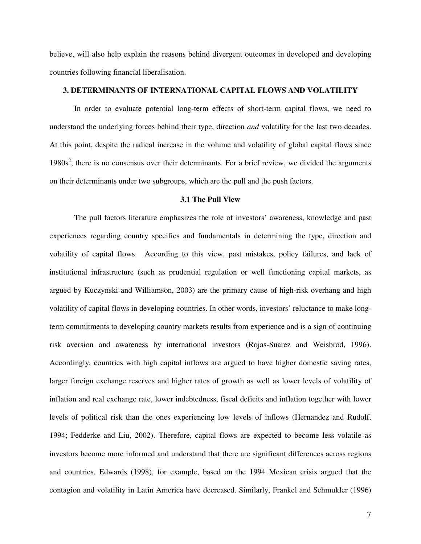believe, will also help explain the reasons behind divergent outcomes in developed and developing countries following financial liberalisation.

# **3. DETERMINANTS OF INTERNATIONAL CAPITAL FLOWS AND VOLATILITY**

In order to evaluate potential long-term effects of short-term capital flows, we need to understand the underlying forces behind their type, direction *and* volatility for the last two decades. At this point, despite the radical increase in the volume and volatility of global capital flows since  $1980s<sup>2</sup>$ , there is no consensus over their determinants. For a brief review, we divided the arguments on their determinants under two subgroups, which are the pull and the push factors.

#### **3.1 The Pull View**

The pull factors literature emphasizes the role of investors' awareness, knowledge and past experiences regarding country specifics and fundamentals in determining the type, direction and volatility of capital flows. According to this view, past mistakes, policy failures, and lack of institutional infrastructure (such as prudential regulation or well functioning capital markets, as argued by Kuczynski and Williamson, 2003) are the primary cause of high-risk overhang and high volatility of capital flows in developing countries. In other words, investors' reluctance to make longterm commitments to developing country markets results from experience and is a sign of continuing risk aversion and awareness by international investors (Rojas-Suarez and Weisbrod, 1996). Accordingly, countries with high capital inflows are argued to have higher domestic saving rates, larger foreign exchange reserves and higher rates of growth as well as lower levels of volatility of inflation and real exchange rate, lower indebtedness, fiscal deficits and inflation together with lower levels of political risk than the ones experiencing low levels of inflows (Hernandez and Rudolf, 1994; Fedderke and Liu, 2002). Therefore, capital flows are expected to become less volatile as investors become more informed and understand that there are significant differences across regions and countries. Edwards (1998), for example, based on the 1994 Mexican crisis argued that the contagion and volatility in Latin America have decreased. Similarly, Frankel and Schmukler (1996)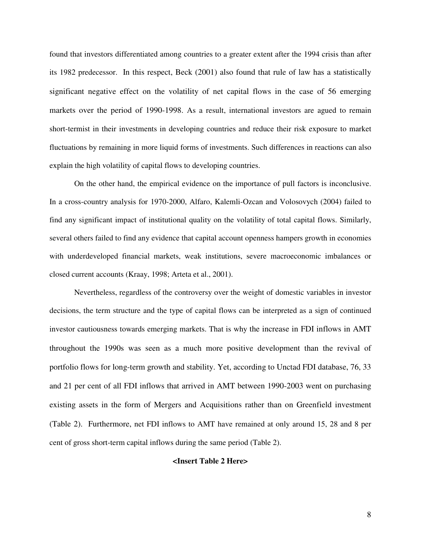found that investors differentiated among countries to a greater extent after the 1994 crisis than after its 1982 predecessor. In this respect, Beck (2001) also found that rule of law has a statistically significant negative effect on the volatility of net capital flows in the case of 56 emerging markets over the period of 1990-1998. As a result, international investors are agued to remain short-termist in their investments in developing countries and reduce their risk exposure to market fluctuations by remaining in more liquid forms of investments. Such differences in reactions can also explain the high volatility of capital flows to developing countries.

On the other hand, the empirical evidence on the importance of pull factors is inconclusive. In a cross-country analysis for 1970-2000, Alfaro, Kalemli-Ozcan and Volosovych (2004) failed to find any significant impact of institutional quality on the volatility of total capital flows. Similarly, several others failed to find any evidence that capital account openness hampers growth in economies with underdeveloped financial markets, weak institutions, severe macroeconomic imbalances or closed current accounts (Kraay, 1998; Arteta et al., 2001).

Nevertheless, regardless of the controversy over the weight of domestic variables in investor decisions, the term structure and the type of capital flows can be interpreted as a sign of continued investor cautiousness towards emerging markets. That is why the increase in FDI inflows in AMT throughout the 1990s was seen as a much more positive development than the revival of portfolio flows for long-term growth and stability. Yet, according to Unctad FDI database, 76, 33 and 21 per cent of all FDI inflows that arrived in AMT between 1990-2003 went on purchasing existing assets in the form of Mergers and Acquisitions rather than on Greenfield investment (Table 2). Furthermore, net FDI inflows to AMT have remained at only around 15, 28 and 8 per cent of gross short-term capital inflows during the same period (Table 2).

# **<Insert Table 2 Here>**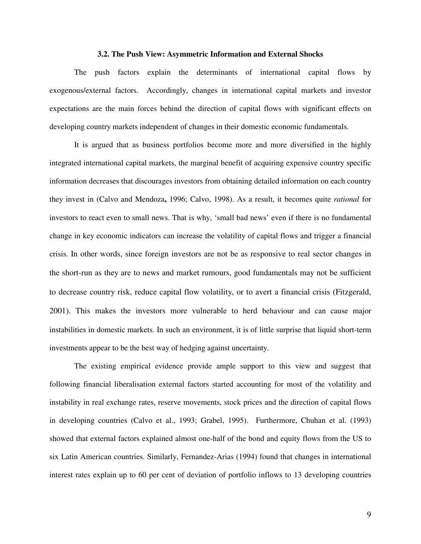## **3.2. The Push View: Asymmetric Information and External Shocks**

The push factors explain the determinants of international capital flows by exogenous/external factors. Accordingly, changes in international capital markets and investor expectations are the main forces behind the direction of capital flows with significant effects on developing country markets independent of changes in their domestic economic fundamentals.

It is argued that as business portfolios become more and more diversified in the highly integrated international capital markets, the marginal benefit of acquiring expensive country specific information decreases that discourages investors from obtaining detailed information on each country they invest in (Calvo and Mendoza**,** 1996; Calvo, 1998). As a result, it becomes quite *rational* for investors to react even to small news. That is why, 'small bad news' even if there is no fundamental change in key economic indicators can increase the volatility of capital flows and trigger a financial crisis. In other words, since foreign investors are not be as responsive to real sector changes in the short-run as they are to news and market rumours, good fundamentals may not be sufficient to decrease country risk, reduce capital flow volatility, or to avert a financial crisis (Fitzgerald, 2001). This makes the investors more vulnerable to herd behaviour and can cause major instabilities in domestic markets. In such an environment, it is of little surprise that liquid short-term investments appear to be the best way of hedging against uncertainty.

The existing empirical evidence provide ample support to this view and suggest that following financial liberalisation external factors started accounting for most of the volatility and instability in real exchange rates, reserve movements, stock prices and the direction of capital flows in developing countries (Calvo et al., 1993; Grabel, 1995). Furthermore, Chuhan et al. (1993) showed that external factors explained almost one-half of the bond and equity flows from the US to six Latin American countries. Similarly, Fernandez-Arias (1994) found that changes in international interest rates explain up to 60 per cent of deviation of portfolio inflows to 13 developing countries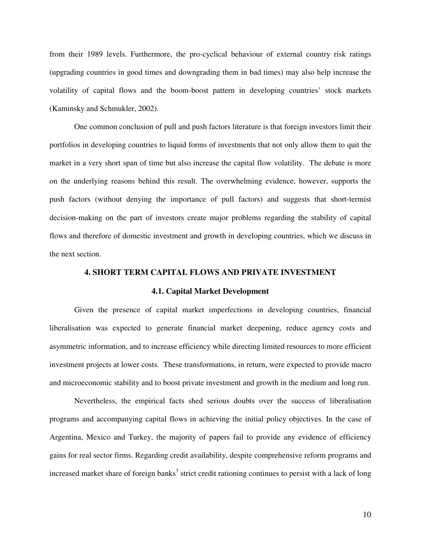from their 1989 levels. Furthermore, the pro-cyclical behaviour of external country risk ratings (upgrading countries in good times and downgrading them in bad times) may also help increase the volatility of capital flows and the boom-boost pattern in developing countries' stock markets (Kaminsky and Schmukler, 2002).

One common conclusion of pull and push factors literature is that foreign investors limit their portfolios in developing countries to liquid forms of investments that not only allow them to quit the market in a very short span of time but also increase the capital flow volatility. The debate is more on the underlying reasons behind this result. The overwhelming evidence, however, supports the push factors (without denying the importance of pull factors) and suggests that short-termist decision-making on the part of investors create major problems regarding the stability of capital flows and therefore of domestic investment and growth in developing countries, which we discuss in the next section.

# **4. SHORT TERM CAPITAL FLOWS AND PRIVATE INVESTMENT**

#### **4.1. Capital Market Development**

Given the presence of capital market imperfections in developing countries, financial liberalisation was expected to generate financial market deepening, reduce agency costs and asymmetric information, and to increase efficiency while directing limited resources to more efficient investment projects at lower costs. These transformations, in return, were expected to provide macro and microeconomic stability and to boost private investment and growth in the medium and long run.

Nevertheless, the empirical facts shed serious doubts over the success of liberalisation programs and accompanying capital flows in achieving the initial policy objectives. In the case of Argentina, Mexico and Turkey, the majority of papers fail to provide any evidence of efficiency gains for real sector firms. Regarding credit availability, despite comprehensive reform programs and increased market share of foreign banks<sup>3</sup> strict credit rationing continues to persist with a lack of long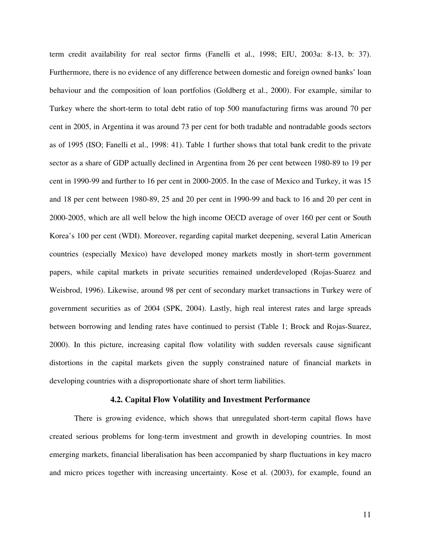term credit availability for real sector firms (Fanelli et al., 1998; EIU, 2003a: 8-13, b: 37). Furthermore, there is no evidence of any difference between domestic and foreign owned banks' loan behaviour and the composition of loan portfolios (Goldberg et al., 2000). For example, similar to Turkey where the short-term to total debt ratio of top 500 manufacturing firms was around 70 per cent in 2005, in Argentina it was around 73 per cent for both tradable and nontradable goods sectors as of 1995 (ISO; Fanelli et al., 1998: 41). Table 1 further shows that total bank credit to the private sector as a share of GDP actually declined in Argentina from 26 per cent between 1980-89 to 19 per cent in 1990-99 and further to 16 per cent in 2000-2005. In the case of Mexico and Turkey, it was 15 and 18 per cent between 1980-89, 25 and 20 per cent in 1990-99 and back to 16 and 20 per cent in 2000-2005, which are all well below the high income OECD average of over 160 per cent or South Korea's 100 per cent (WDI). Moreover, regarding capital market deepening, several Latin American countries (especially Mexico) have developed money markets mostly in short-term government papers, while capital markets in private securities remained underdeveloped (Rojas-Suarez and Weisbrod, 1996). Likewise, around 98 per cent of secondary market transactions in Turkey were of government securities as of 2004 (SPK, 2004). Lastly, high real interest rates and large spreads between borrowing and lending rates have continued to persist (Table 1; Brock and Rojas-Suarez, 2000). In this picture, increasing capital flow volatility with sudden reversals cause significant distortions in the capital markets given the supply constrained nature of financial markets in developing countries with a disproportionate share of short term liabilities.

# **4.2. Capital Flow Volatility and Investment Performance**

There is growing evidence, which shows that unregulated short-term capital flows have created serious problems for long-term investment and growth in developing countries. In most emerging markets, financial liberalisation has been accompanied by sharp fluctuations in key macro and micro prices together with increasing uncertainty. Kose et al. (2003), for example, found an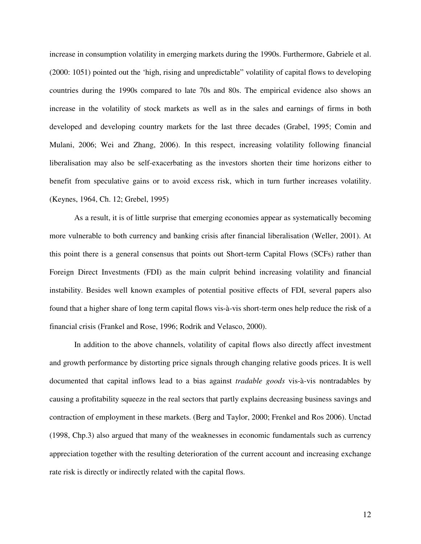increase in consumption volatility in emerging markets during the 1990s. Furthermore, Gabriele et al. (2000: 1051) pointed out the 'high, rising and unpredictable" volatility of capital flows to developing countries during the 1990s compared to late 70s and 80s. The empirical evidence also shows an increase in the volatility of stock markets as well as in the sales and earnings of firms in both developed and developing country markets for the last three decades (Grabel, 1995; Comin and Mulani, 2006; Wei and Zhang, 2006). In this respect, increasing volatility following financial liberalisation may also be self-exacerbating as the investors shorten their time horizons either to benefit from speculative gains or to avoid excess risk, which in turn further increases volatility. (Keynes, 1964, Ch. 12; Grebel, 1995)

As a result, it is of little surprise that emerging economies appear as systematically becoming more vulnerable to both currency and banking crisis after financial liberalisation (Weller, 2001). At this point there is a general consensus that points out Short-term Capital Flows (SCFs) rather than Foreign Direct Investments (FDI) as the main culprit behind increasing volatility and financial instability. Besides well known examples of potential positive effects of FDI, several papers also found that a higher share of long term capital flows vis-à-vis short-term ones help reduce the risk of a financial crisis (Frankel and Rose, 1996; Rodrik and Velasco, 2000).

In addition to the above channels, volatility of capital flows also directly affect investment and growth performance by distorting price signals through changing relative goods prices. It is well documented that capital inflows lead to a bias against *tradable goods* vis-à-vis nontradables by causing a profitability squeeze in the real sectors that partly explains decreasing business savings and contraction of employment in these markets. (Berg and Taylor, 2000; Frenkel and Ros 2006). Unctad (1998, Chp.3) also argued that many of the weaknesses in economic fundamentals such as currency appreciation together with the resulting deterioration of the current account and increasing exchange rate risk is directly or indirectly related with the capital flows.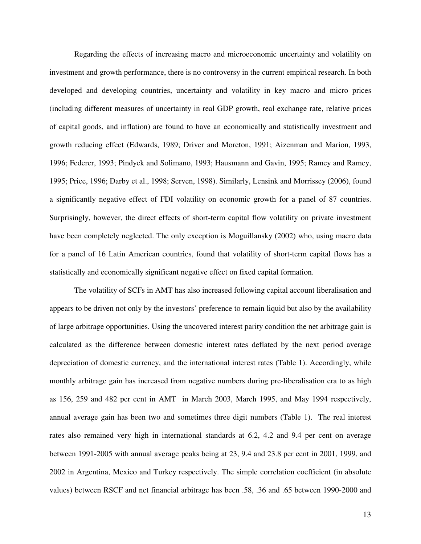Regarding the effects of increasing macro and microeconomic uncertainty and volatility on investment and growth performance, there is no controversy in the current empirical research. In both developed and developing countries, uncertainty and volatility in key macro and micro prices (including different measures of uncertainty in real GDP growth, real exchange rate, relative prices of capital goods, and inflation) are found to have an economically and statistically investment and growth reducing effect (Edwards, 1989; Driver and Moreton, 1991; Aizenman and Marion, 1993, 1996; Federer, 1993; Pindyck and Solimano, 1993; Hausmann and Gavin, 1995; Ramey and Ramey, 1995; Price, 1996; Darby et al., 1998; Serven, 1998). Similarly, Lensink and Morrissey (2006), found a significantly negative effect of FDI volatility on economic growth for a panel of 87 countries. Surprisingly, however, the direct effects of short-term capital flow volatility on private investment have been completely neglected. The only exception is Moguillansky (2002) who, using macro data for a panel of 16 Latin American countries, found that volatility of short-term capital flows has a statistically and economically significant negative effect on fixed capital formation.

The volatility of SCFs in AMT has also increased following capital account liberalisation and appears to be driven not only by the investors' preference to remain liquid but also by the availability of large arbitrage opportunities. Using the uncovered interest parity condition the net arbitrage gain is calculated as the difference between domestic interest rates deflated by the next period average depreciation of domestic currency, and the international interest rates (Table 1). Accordingly, while monthly arbitrage gain has increased from negative numbers during pre-liberalisation era to as high as 156, 259 and 482 per cent in AMT in March 2003, March 1995, and May 1994 respectively, annual average gain has been two and sometimes three digit numbers (Table 1). The real interest rates also remained very high in international standards at 6.2, 4.2 and 9.4 per cent on average between 1991-2005 with annual average peaks being at 23, 9.4 and 23.8 per cent in 2001, 1999, and 2002 in Argentina, Mexico and Turkey respectively. The simple correlation coefficient (in absolute values) between RSCF and net financial arbitrage has been .58, .36 and .65 between 1990-2000 and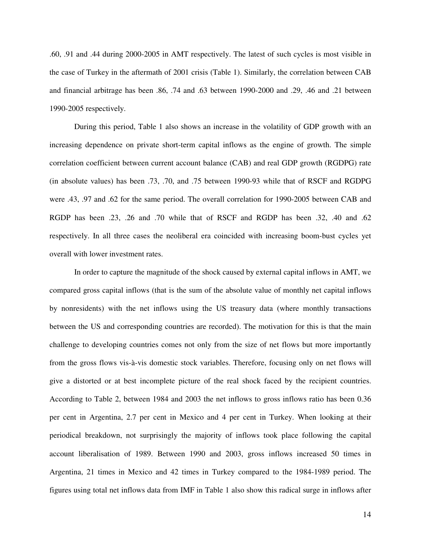.60, .91 and .44 during 2000-2005 in AMT respectively. The latest of such cycles is most visible in the case of Turkey in the aftermath of 2001 crisis (Table 1). Similarly, the correlation between CAB and financial arbitrage has been .86, .74 and .63 between 1990-2000 and .29, .46 and .21 between 1990-2005 respectively.

During this period, Table 1 also shows an increase in the volatility of GDP growth with an increasing dependence on private short-term capital inflows as the engine of growth. The simple correlation coefficient between current account balance (CAB) and real GDP growth (RGDPG) rate (in absolute values) has been .73, .70, and .75 between 1990-93 while that of RSCF and RGDPG were .43, .97 and .62 for the same period. The overall correlation for 1990-2005 between CAB and RGDP has been .23, .26 and .70 while that of RSCF and RGDP has been .32, .40 and .62 respectively. In all three cases the neoliberal era coincided with increasing boom-bust cycles yet overall with lower investment rates.

In order to capture the magnitude of the shock caused by external capital inflows in AMT, we compared gross capital inflows (that is the sum of the absolute value of monthly net capital inflows by nonresidents) with the net inflows using the US treasury data (where monthly transactions between the US and corresponding countries are recorded). The motivation for this is that the main challenge to developing countries comes not only from the size of net flows but more importantly from the gross flows vis-à-vis domestic stock variables. Therefore, focusing only on net flows will give a distorted or at best incomplete picture of the real shock faced by the recipient countries. According to Table 2, between 1984 and 2003 the net inflows to gross inflows ratio has been 0.36 per cent in Argentina, 2.7 per cent in Mexico and 4 per cent in Turkey. When looking at their periodical breakdown, not surprisingly the majority of inflows took place following the capital account liberalisation of 1989. Between 1990 and 2003, gross inflows increased 50 times in Argentina, 21 times in Mexico and 42 times in Turkey compared to the 1984-1989 period. The figures using total net inflows data from IMF in Table 1 also show this radical surge in inflows after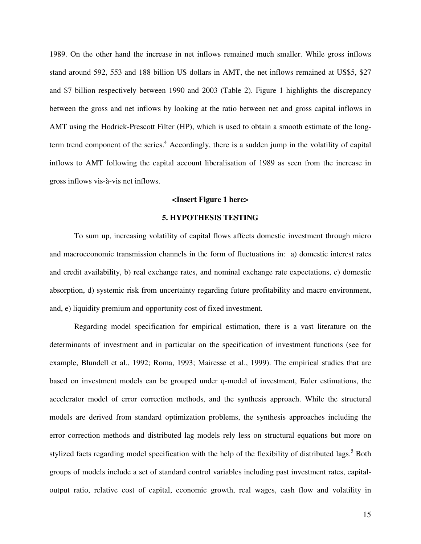1989. On the other hand the increase in net inflows remained much smaller. While gross inflows stand around 592, 553 and 188 billion US dollars in AMT, the net inflows remained at US\$5, \$27 and \$7 billion respectively between 1990 and 2003 (Table 2). Figure 1 highlights the discrepancy between the gross and net inflows by looking at the ratio between net and gross capital inflows in AMT using the Hodrick-Prescott Filter (HP), which is used to obtain a smooth estimate of the longterm trend component of the series.<sup>4</sup> Accordingly, there is a sudden jump in the volatility of capital inflows to AMT following the capital account liberalisation of 1989 as seen from the increase in gross inflows vis-à-vis net inflows.

#### **<Insert Figure 1 here>**

# **5. HYPOTHESIS TESTING**

To sum up, increasing volatility of capital flows affects domestic investment through micro and macroeconomic transmission channels in the form of fluctuations in: a) domestic interest rates and credit availability, b) real exchange rates, and nominal exchange rate expectations, c) domestic absorption, d) systemic risk from uncertainty regarding future profitability and macro environment, and, e) liquidity premium and opportunity cost of fixed investment.

Regarding model specification for empirical estimation, there is a vast literature on the determinants of investment and in particular on the specification of investment functions (see for example, Blundell et al., 1992; Roma, 1993; Mairesse et al., 1999). The empirical studies that are based on investment models can be grouped under q-model of investment, Euler estimations, the accelerator model of error correction methods, and the synthesis approach. While the structural models are derived from standard optimization problems, the synthesis approaches including the error correction methods and distributed lag models rely less on structural equations but more on stylized facts regarding model specification with the help of the flexibility of distributed lags.<sup>5</sup> Both groups of models include a set of standard control variables including past investment rates, capitaloutput ratio, relative cost of capital, economic growth, real wages, cash flow and volatility in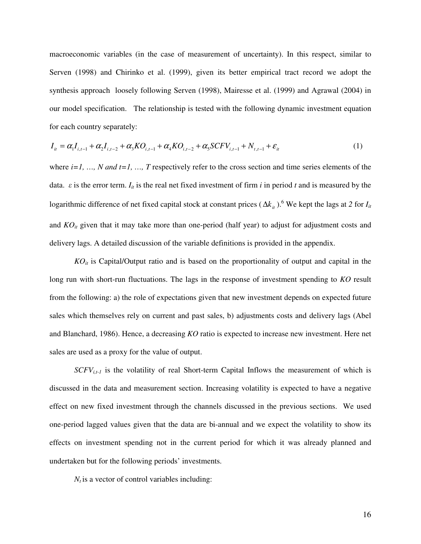macroeconomic variables (in the case of measurement of uncertainty). In this respect, similar to Serven (1998) and Chirinko et al. (1999), given its better empirical tract record we adopt the synthesis approach loosely following Serven (1998), Mairesse et al. (1999) and Agrawal (2004) in our model specification. The relationship is tested with the following dynamic investment equation for each country separately:

$$
I_{it} = \alpha_1 I_{i,t-1} + \alpha_2 I_{i,t-2} + \alpha_3 KO_{i,t-1} + \alpha_4 KO_{i,t-2} + \alpha_5 SCFV_{i,t-1} + N_{t,t-1} + \varepsilon_{it}
$$
\n(1)

where  $i=1, ..., N$  and  $t=1, ..., T$  respectively refer to the cross section and time series elements of the data.  $\varepsilon$  is the error term.  $I_{it}$  is the real net fixed investment of firm *i* in period *t* and is measured by the logarithmic difference of net fixed capital stock at constant prices ( $\Delta k_{it}$ ).<sup>6</sup> We kept the lags at 2 for *I<sub>it</sub>* and  $KO<sub>it</sub>$  given that it may take more than one-period (half year) to adjust for adjustment costs and delivery lags. A detailed discussion of the variable definitions is provided in the appendix.

*KOit* is Capital/Output ratio and is based on the proportionality of output and capital in the long run with short-run fluctuations. The lags in the response of investment spending to *KO* result from the following: a) the role of expectations given that new investment depends on expected future sales which themselves rely on current and past sales, b) adjustments costs and delivery lags (Abel and Blanchard, 1986). Hence, a decreasing *KO* ratio is expected to increase new investment. Here net sales are used as a proxy for the value of output.

 $SCFV<sub>i,t-1</sub>$  is the volatility of real Short-term Capital Inflows the measurement of which is discussed in the data and measurement section. Increasing volatility is expected to have a negative effect on new fixed investment through the channels discussed in the previous sections. We used one-period lagged values given that the data are bi-annual and we expect the volatility to show its effects on investment spending not in the current period for which it was already planned and undertaken but for the following periods' investments.

 $N_t$  is a vector of control variables including: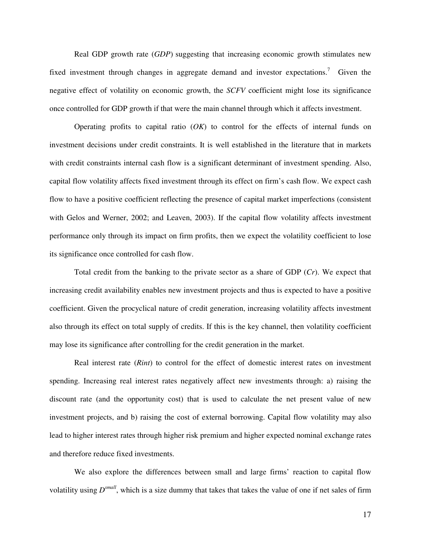Real GDP growth rate (*GDP*) suggesting that increasing economic growth stimulates new fixed investment through changes in aggregate demand and investor expectations.<sup>7</sup> Given the negative effect of volatility on economic growth, the *SCFV* coefficient might lose its significance once controlled for GDP growth if that were the main channel through which it affects investment.

Operating profits to capital ratio (*OK*) to control for the effects of internal funds on investment decisions under credit constraints. It is well established in the literature that in markets with credit constraints internal cash flow is a significant determinant of investment spending. Also, capital flow volatility affects fixed investment through its effect on firm's cash flow. We expect cash flow to have a positive coefficient reflecting the presence of capital market imperfections (consistent with Gelos and Werner, 2002; and Leaven, 2003). If the capital flow volatility affects investment performance only through its impact on firm profits, then we expect the volatility coefficient to lose its significance once controlled for cash flow.

Total credit from the banking to the private sector as a share of GDP (*Cr*). We expect that increasing credit availability enables new investment projects and thus is expected to have a positive coefficient. Given the procyclical nature of credit generation, increasing volatility affects investment also through its effect on total supply of credits. If this is the key channel, then volatility coefficient may lose its significance after controlling for the credit generation in the market.

Real interest rate (*Rint*) to control for the effect of domestic interest rates on investment spending. Increasing real interest rates negatively affect new investments through: a) raising the discount rate (and the opportunity cost) that is used to calculate the net present value of new investment projects, and b) raising the cost of external borrowing. Capital flow volatility may also lead to higher interest rates through higher risk premium and higher expected nominal exchange rates and therefore reduce fixed investments.

We also explore the differences between small and large firms' reaction to capital flow volatility using  $D^{small}$ , which is a size dummy that takes that takes the value of one if net sales of firm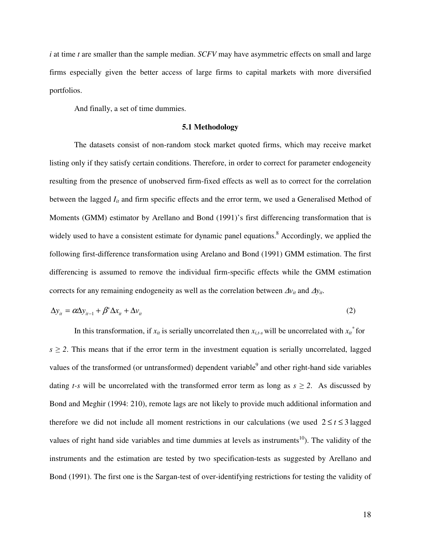*i* at time *t* are smaller than the sample median. *SCFV* may have asymmetric effects on small and large firms especially given the better access of large firms to capital markets with more diversified portfolios.

And finally, a set of time dummies.

#### **5.1 Methodology**

The datasets consist of non-random stock market quoted firms, which may receive market listing only if they satisfy certain conditions. Therefore, in order to correct for parameter endogeneity resulting from the presence of unobserved firm-fixed effects as well as to correct for the correlation between the lagged  $I_{it}$  and firm specific effects and the error term, we used a Generalised Method of Moments (GMM) estimator by Arellano and Bond (1991)'s first differencing transformation that is widely used to have a consistent estimate for dynamic panel equations.<sup>8</sup> Accordingly, we applied the following first-difference transformation using Arelano and Bond (1991) GMM estimation. The first differencing is assumed to remove the individual firm-specific effects while the GMM estimation corrects for any remaining endogeneity as well as the correlation between  $\Delta v_{it}$  and  $\Delta y_{it}$ .

$$
\Delta y_{it} = \alpha \Delta y_{it-1} + \beta' \Delta x_{it} + \Delta v_{it}
$$
\n(2)

In this transformation, if  $x_i$  is serially uncorrelated then  $x_{i,t-s}$  will be uncorrelated with  $x_{it}$ <sup>\*</sup> for  $s \geq 2$ . This means that if the error term in the investment equation is serially uncorrelated, lagged values of the transformed (or untransformed) dependent variable<sup>9</sup> and other right-hand side variables dating *t*-*s* will be uncorrelated with the transformed error term as long as  $s \ge 2$ . As discussed by Bond and Meghir (1994: 210), remote lags are not likely to provide much additional information and therefore we did not include all moment restrictions in our calculations (we used  $2 \le t \le 3$  lagged values of right hand side variables and time dummies at levels as instruments<sup>10</sup>). The validity of the instruments and the estimation are tested by two specification-tests as suggested by Arellano and Bond (1991). The first one is the Sargan-test of over-identifying restrictions for testing the validity of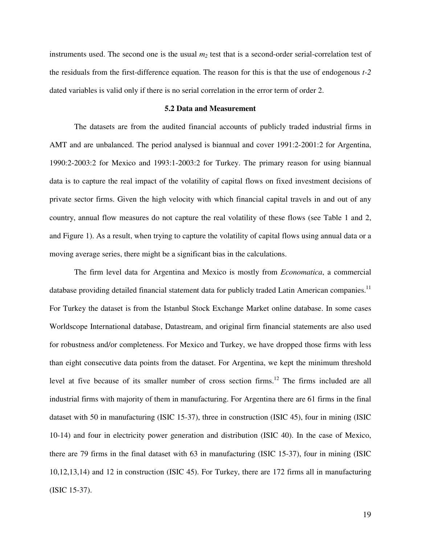instruments used. The second one is the usual  $m<sub>2</sub>$  test that is a second-order serial-correlation test of the residuals from the first-difference equation. The reason for this is that the use of endogenous *t-2* dated variables is valid only if there is no serial correlation in the error term of order 2.

#### **5.2 Data and Measurement**

The datasets are from the audited financial accounts of publicly traded industrial firms in AMT and are unbalanced. The period analysed is biannual and cover 1991:2-2001:2 for Argentina, 1990:2-2003:2 for Mexico and 1993:1-2003:2 for Turkey. The primary reason for using biannual data is to capture the real impact of the volatility of capital flows on fixed investment decisions of private sector firms. Given the high velocity with which financial capital travels in and out of any country, annual flow measures do not capture the real volatility of these flows (see Table 1 and 2, and Figure 1). As a result, when trying to capture the volatility of capital flows using annual data or a moving average series, there might be a significant bias in the calculations.

The firm level data for Argentina and Mexico is mostly from *Economatica*, a commercial database providing detailed financial statement data for publicly traded Latin American companies.<sup>11</sup> For Turkey the dataset is from the Istanbul Stock Exchange Market online database. In some cases Worldscope International database, Datastream, and original firm financial statements are also used for robustness and/or completeness. For Mexico and Turkey, we have dropped those firms with less than eight consecutive data points from the dataset. For Argentina, we kept the minimum threshold level at five because of its smaller number of cross section firms.<sup>12</sup> The firms included are all industrial firms with majority of them in manufacturing. For Argentina there are 61 firms in the final dataset with 50 in manufacturing (ISIC 15-37), three in construction (ISIC 45), four in mining (ISIC 10-14) and four in electricity power generation and distribution (ISIC 40). In the case of Mexico, there are 79 firms in the final dataset with 63 in manufacturing (ISIC 15-37), four in mining (ISIC 10,12,13,14) and 12 in construction (ISIC 45). For Turkey, there are 172 firms all in manufacturing (ISIC 15-37).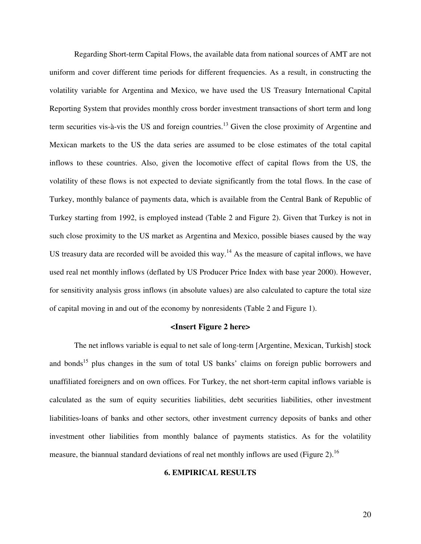Regarding Short-term Capital Flows, the available data from national sources of AMT are not uniform and cover different time periods for different frequencies. As a result, in constructing the volatility variable for Argentina and Mexico, we have used the US Treasury International Capital Reporting System that provides monthly cross border investment transactions of short term and long term securities vis-à-vis the US and foreign countries.<sup>13</sup> Given the close proximity of Argentine and Mexican markets to the US the data series are assumed to be close estimates of the total capital inflows to these countries. Also, given the locomotive effect of capital flows from the US, the volatility of these flows is not expected to deviate significantly from the total flows. In the case of Turkey, monthly balance of payments data, which is available from the Central Bank of Republic of Turkey starting from 1992, is employed instead (Table 2 and Figure 2). Given that Turkey is not in such close proximity to the US market as Argentina and Mexico, possible biases caused by the way US treasury data are recorded will be avoided this way.<sup>14</sup> As the measure of capital inflows, we have used real net monthly inflows (deflated by US Producer Price Index with base year 2000). However, for sensitivity analysis gross inflows (in absolute values) are also calculated to capture the total size of capital moving in and out of the economy by nonresidents (Table 2 and Figure 1).

# **<Insert Figure 2 here>**

The net inflows variable is equal to net sale of long-term [Argentine, Mexican, Turkish] stock and bonds<sup>15</sup> plus changes in the sum of total US banks' claims on foreign public borrowers and unaffiliated foreigners and on own offices. For Turkey, the net short-term capital inflows variable is calculated as the sum of equity securities liabilities, debt securities liabilities, other investment liabilities-loans of banks and other sectors, other investment currency deposits of banks and other investment other liabilities from monthly balance of payments statistics. As for the volatility measure, the biannual standard deviations of real net monthly inflows are used (Figure 2).<sup>16</sup>

# **6. EMPIRICAL RESULTS**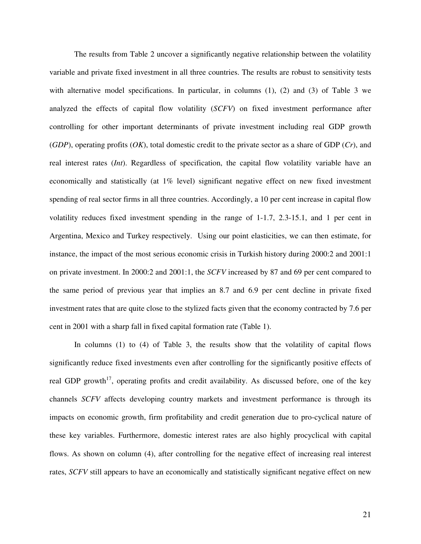The results from Table 2 uncover a significantly negative relationship between the volatility variable and private fixed investment in all three countries. The results are robust to sensitivity tests with alternative model specifications. In particular, in columns (1), (2) and (3) of Table 3 we analyzed the effects of capital flow volatility (*SCFV*) on fixed investment performance after controlling for other important determinants of private investment including real GDP growth (*GDP*), operating profits (*OK*), total domestic credit to the private sector as a share of GDP (*Cr*), and real interest rates (*Int*). Regardless of specification, the capital flow volatility variable have an economically and statistically (at 1% level) significant negative effect on new fixed investment spending of real sector firms in all three countries. Accordingly, a 10 per cent increase in capital flow volatility reduces fixed investment spending in the range of 1-1.7, 2.3-15.1, and 1 per cent in Argentina, Mexico and Turkey respectively. Using our point elasticities, we can then estimate, for instance, the impact of the most serious economic crisis in Turkish history during 2000:2 and 2001:1 on private investment. In 2000:2 and 2001:1, the *SCFV* increased by 87 and 69 per cent compared to the same period of previous year that implies an 8.7 and 6.9 per cent decline in private fixed investment rates that are quite close to the stylized facts given that the economy contracted by 7.6 per cent in 2001 with a sharp fall in fixed capital formation rate (Table 1).

In columns (1) to (4) of Table 3, the results show that the volatility of capital flows significantly reduce fixed investments even after controlling for the significantly positive effects of real GDP growth<sup>17</sup>, operating profits and credit availability. As discussed before, one of the key channels *SCFV* affects developing country markets and investment performance is through its impacts on economic growth, firm profitability and credit generation due to pro-cyclical nature of these key variables. Furthermore, domestic interest rates are also highly procyclical with capital flows. As shown on column (4), after controlling for the negative effect of increasing real interest rates, *SCFV* still appears to have an economically and statistically significant negative effect on new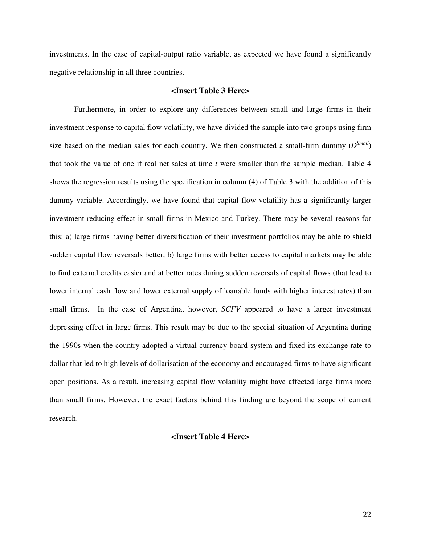investments. In the case of capital-output ratio variable, as expected we have found a significantly negative relationship in all three countries.

# **<Insert Table 3 Here>**

 Furthermore, in order to explore any differences between small and large firms in their investment response to capital flow volatility, we have divided the sample into two groups using firm size based on the median sales for each country. We then constructed a small-firm dummy  $(D^{Small})$ that took the value of one if real net sales at time *t* were smaller than the sample median. Table 4 shows the regression results using the specification in column (4) of Table 3 with the addition of this dummy variable. Accordingly, we have found that capital flow volatility has a significantly larger investment reducing effect in small firms in Mexico and Turkey. There may be several reasons for this: a) large firms having better diversification of their investment portfolios may be able to shield sudden capital flow reversals better, b) large firms with better access to capital markets may be able to find external credits easier and at better rates during sudden reversals of capital flows (that lead to lower internal cash flow and lower external supply of loanable funds with higher interest rates) than small firms. In the case of Argentina, however, *SCFV* appeared to have a larger investment depressing effect in large firms. This result may be due to the special situation of Argentina during the 1990s when the country adopted a virtual currency board system and fixed its exchange rate to dollar that led to high levels of dollarisation of the economy and encouraged firms to have significant open positions. As a result, increasing capital flow volatility might have affected large firms more than small firms. However, the exact factors behind this finding are beyond the scope of current research.

# **<Insert Table 4 Here>**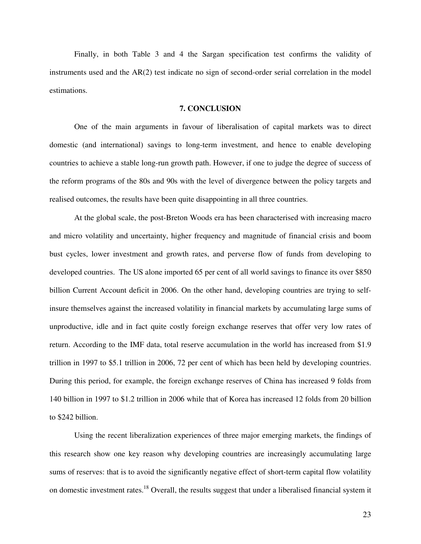Finally, in both Table 3 and 4 the Sargan specification test confirms the validity of instruments used and the  $AR(2)$  test indicate no sign of second-order serial correlation in the model estimations.

#### **7. CONCLUSION**

One of the main arguments in favour of liberalisation of capital markets was to direct domestic (and international) savings to long-term investment, and hence to enable developing countries to achieve a stable long-run growth path. However, if one to judge the degree of success of the reform programs of the 80s and 90s with the level of divergence between the policy targets and realised outcomes, the results have been quite disappointing in all three countries.

At the global scale, the post-Breton Woods era has been characterised with increasing macro and micro volatility and uncertainty, higher frequency and magnitude of financial crisis and boom bust cycles, lower investment and growth rates, and perverse flow of funds from developing to developed countries. The US alone imported 65 per cent of all world savings to finance its over \$850 billion Current Account deficit in 2006. On the other hand, developing countries are trying to selfinsure themselves against the increased volatility in financial markets by accumulating large sums of unproductive, idle and in fact quite costly foreign exchange reserves that offer very low rates of return. According to the IMF data, total reserve accumulation in the world has increased from \$1.9 trillion in 1997 to \$5.1 trillion in 2006, 72 per cent of which has been held by developing countries. During this period, for example, the foreign exchange reserves of China has increased 9 folds from 140 billion in 1997 to \$1.2 trillion in 2006 while that of Korea has increased 12 folds from 20 billion to \$242 billion.

Using the recent liberalization experiences of three major emerging markets, the findings of this research show one key reason why developing countries are increasingly accumulating large sums of reserves: that is to avoid the significantly negative effect of short-term capital flow volatility on domestic investment rates.<sup>18</sup> Overall, the results suggest that under a liberalised financial system it

23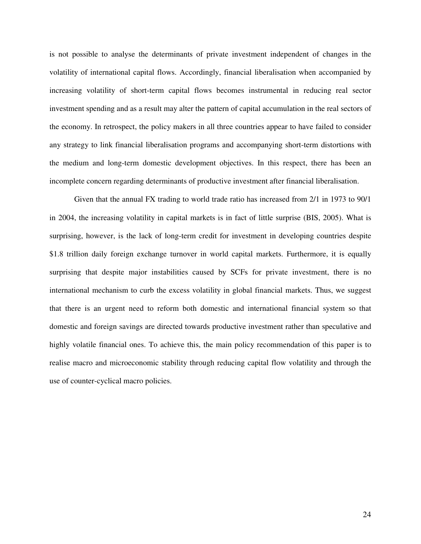is not possible to analyse the determinants of private investment independent of changes in the volatility of international capital flows. Accordingly, financial liberalisation when accompanied by increasing volatility of short-term capital flows becomes instrumental in reducing real sector investment spending and as a result may alter the pattern of capital accumulation in the real sectors of the economy. In retrospect, the policy makers in all three countries appear to have failed to consider any strategy to link financial liberalisation programs and accompanying short-term distortions with the medium and long-term domestic development objectives. In this respect, there has been an incomplete concern regarding determinants of productive investment after financial liberalisation.

Given that the annual FX trading to world trade ratio has increased from 2/1 in 1973 to 90/1 in 2004, the increasing volatility in capital markets is in fact of little surprise (BIS, 2005). What is surprising, however, is the lack of long-term credit for investment in developing countries despite \$1.8 trillion daily foreign exchange turnover in world capital markets. Furthermore, it is equally surprising that despite major instabilities caused by SCFs for private investment, there is no international mechanism to curb the excess volatility in global financial markets. Thus, we suggest that there is an urgent need to reform both domestic and international financial system so that domestic and foreign savings are directed towards productive investment rather than speculative and highly volatile financial ones. To achieve this, the main policy recommendation of this paper is to realise macro and microeconomic stability through reducing capital flow volatility and through the use of counter-cyclical macro policies.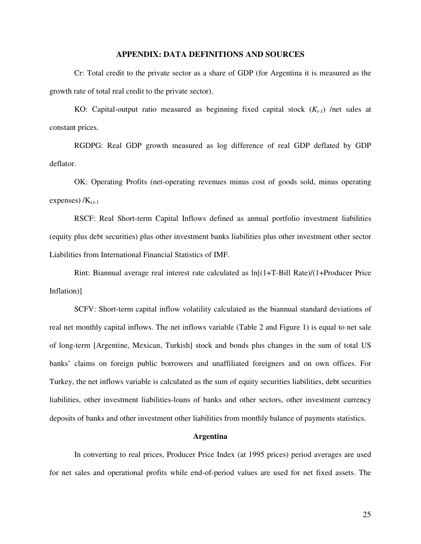# **APPENDIX: DATA DEFINITIONS AND SOURCES**

Cr: Total credit to the private sector as a share of GDP (for Argentina it is measured as the growth rate of total real credit to the private sector).

KO: Capital-output ratio measured as beginning fixed capital stock (*Kt-1*) /net sales at constant prices.

RGDPG: Real GDP growth measured as log difference of real GDP deflated by GDP deflator.

OK: Operating Profits (net-operating revenues minus cost of goods sold, minus operating expenses)  $/K_{i,t-1}$ 

RSCF: Real Short-term Capital Inflows defined as annual portfolio investment liabilities (equity plus debt securities) plus other investment banks liabilities plus other investment other sector Liabilities from International Financial Statistics of IMF.

Rint: Biannual average real interest rate calculated as ln[(1+T-Bill Rate)/(1+Producer Price Inflation)]

SCFV: Short-term capital inflow volatility calculated as the biannual standard deviations of real net monthly capital inflows. The net inflows variable (Table 2 and Figure 1) is equal to net sale of long-term [Argentine, Mexican, Turkish] stock and bonds plus changes in the sum of total US banks' claims on foreign public borrowers and unaffiliated foreigners and on own offices. For Turkey, the net inflows variable is calculated as the sum of equity securities liabilities, debt securities liabilities, other investment liabilities-loans of banks and other sectors, other investment currency deposits of banks and other investment other liabilities from monthly balance of payments statistics.

### **Argentina**

In converting to real prices, Producer Price Index (at 1995 prices) period averages are used for net sales and operational profits while end-of-period values are used for net fixed assets. The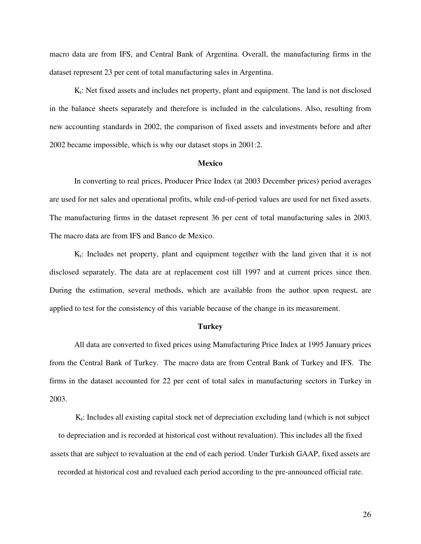macro data are from IFS, and Central Bank of Argentina. Overall, the manufacturing firms in the dataset represent 23 per cent of total manufacturing sales in Argentina.

 $K_t$ : Net fixed assets and includes net property, plant and equipment. The land is not disclosed in the balance sheets separately and therefore is included in the calculations. Also, resulting from new accounting standards in 2002, the comparison of fixed assets and investments before and after 2002 became impossible, which is why our dataset stops in 2001:2.

#### **Mexico**

In converting to real prices, Producer Price Index (at 2003 December prices) period averages are used for net sales and operational profits, while end-of-period values are used for net fixed assets. The manufacturing firms in the dataset represent 36 per cent of total manufacturing sales in 2003. The macro data are from IFS and Banco de Mexico.

 $K_t$ : Includes net property, plant and equipment together with the land given that it is not disclosed separately. The data are at replacement cost till 1997 and at current prices since then. During the estimation, several methods, which are available from the author upon request, are applied to test for the consistency of this variable because of the change in its measurement.

#### **Turkey**

All data are converted to fixed prices using Manufacturing Price Index at 1995 January prices from the Central Bank of Turkey. The macro data are from Central Bank of Turkey and IFS. The firms in the dataset accounted for 22 per cent of total sales in manufacturing sectors in Turkey in 2003.

 $K_t$ : Includes all existing capital stock net of depreciation excluding land (which is not subject to depreciation and is recorded at historical cost without revaluation). This includes all the fixed assets that are subject to revaluation at the end of each period. Under Turkish GAAP, fixed assets are recorded at historical cost and revalued each period according to the pre-announced official rate.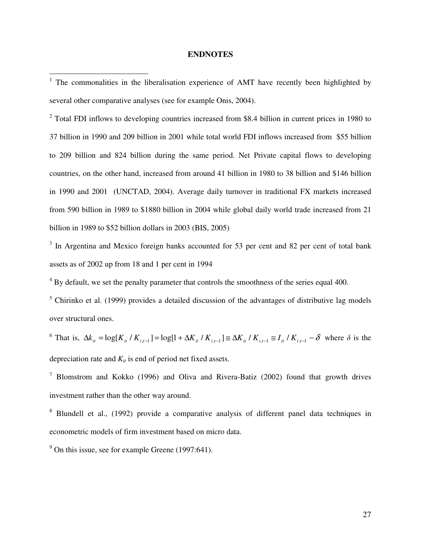# **ENDNOTES**

<sup>2</sup> Total FDI inflows to developing countries increased from \$8.4 billion in current prices in 1980 to 37 billion in 1990 and 209 billion in 2001 while total world FDI inflows increased from \$55 billion to 209 billion and 824 billion during the same period. Net Private capital flows to developing countries, on the other hand, increased from around 41 billion in 1980 to 38 billion and \$146 billion in 1990 and 2001 (UNCTAD, 2004). Average daily turnover in traditional FX markets increased from 590 billion in 1989 to \$1880 billion in 2004 while global daily world trade increased from 21 billion in 1989 to \$52 billion dollars in 2003 (BIS, 2005)

<sup>3</sup> In Argentina and Mexico foreign banks accounted for 53 per cent and 82 per cent of total bank assets as of 2002 up from 18 and 1 per cent in 1994

 $4$  By default, we set the penalty parameter that controls the smoothness of the series equal 400.

<sup>5</sup> Chirinko et al. (1999) provides a detailed discussion of the advantages of distributive lag models over structural ones.

<sup>6</sup> That is,  $\Delta k_{it} = \log[K_{it} / K_{i,t-1}] = \log[1 + \Delta K_{it} / K_{i,t-1}] \approx \Delta K_{it} / K_{i,t-1} \approx I_{it} / K_{i,t-1} - \delta$  where  $\delta$  is the depreciation rate and  $K_i$  is end of period net fixed assets.

<sup>7</sup> Blomstrom and Kokko (1996) and Oliva and Rivera-Batiz (2002) found that growth drives investment rather than the other way around.

<sup>8</sup> Blundell et al., (1992) provide a comparative analysis of different panel data techniques in econometric models of firm investment based on micro data.

 $9^9$  On this issue, see for example Greene (1997:641).

<sup>&</sup>lt;sup>1</sup> The commonalities in the liberalisation experience of AMT have recently been highlighted by several other comparative analyses (see for example Onis, 2004).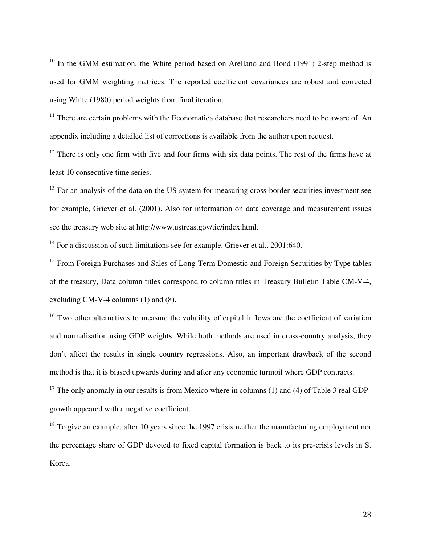$10$  In the GMM estimation, the White period based on Arellano and Bond (1991) 2-step method is used for GMM weighting matrices. The reported coefficient covariances are robust and corrected using White (1980) period weights from final iteration.

 $11$  There are certain problems with the Economatica database that researchers need to be aware of. An appendix including a detailed list of corrections is available from the author upon request.

<sup>12</sup> There is only one firm with five and four firms with six data points. The rest of the firms have at least 10 consecutive time series.

<sup>13</sup> For an analysis of the data on the US system for measuring cross-border securities investment see for example, Griever et al. (2001). Also for information on data coverage and measurement issues see the treasury web site at http://www.ustreas.gov/tic/index.html.

<sup>14</sup> For a discussion of such limitations see for example. Griever et al., 2001:640.

 $\overline{a}$ 

<sup>15</sup> From Foreign Purchases and Sales of Long-Term Domestic and Foreign Securities by Type tables of the treasury, Data column titles correspond to column titles in Treasury Bulletin Table CM-V-4, excluding CM-V-4 columns (1) and (8).

<sup>16</sup> Two other alternatives to measure the volatility of capital inflows are the coefficient of variation and normalisation using GDP weights. While both methods are used in cross-country analysis, they don't affect the results in single country regressions. Also, an important drawback of the second method is that it is biased upwards during and after any economic turmoil where GDP contracts.

<sup>17</sup> The only anomaly in our results is from Mexico where in columns (1) and (4) of Table 3 real GDP growth appeared with a negative coefficient.

<sup>18</sup> To give an example, after 10 years since the 1997 crisis neither the manufacturing employment nor the percentage share of GDP devoted to fixed capital formation is back to its pre-crisis levels in S. Korea.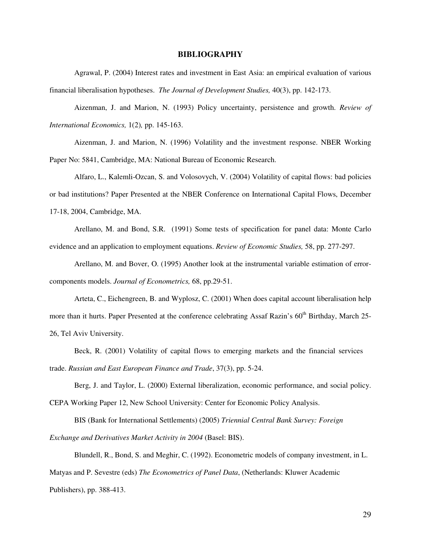#### **BIBLIOGRAPHY**

Agrawal, P. (2004) Interest rates and investment in East Asia: an empirical evaluation of various financial liberalisation hypotheses. *The Journal of Development Studies,* 40(3), pp. 142-173.

Aizenman, J. and Marion, N. (1993) Policy uncertainty, persistence and growth. *Review of International Economics,* 1(2)*,* pp. 145-163.

Aizenman, J. and Marion, N. (1996) Volatility and the investment response. NBER Working Paper No: 5841, Cambridge, MA: National Bureau of Economic Research.

Alfaro, L., Kalemli-Ozcan, S. and Volosovych, V. (2004) Volatility of capital flows: bad policies or bad institutions? Paper Presented at the NBER Conference on International Capital Flows, December 17-18, 2004, Cambridge, MA.

Arellano, M. and Bond, S.R. (1991) Some tests of specification for panel data: Monte Carlo evidence and an application to employment equations. *Review of Economic Studies,* 58, pp. 277-297.

Arellano, M. and Bover, O. (1995) Another look at the instrumental variable estimation of errorcomponents models. *Journal of Econometrics,* 68, pp.29-51.

Arteta, C., Eichengreen, B. and Wyplosz, C. (2001) When does capital account liberalisation help more than it hurts. Paper Presented at the conference celebrating Assaf Razin's 60<sup>th</sup> Birthday, March 25-26, Tel Aviv University.

Beck, R. (2001) Volatility of capital flows to emerging markets and the financial services trade. *Russian and East European Finance and Trade*, 37(3), pp. 5-24.

Berg, J. and Taylor, L. (2000) External liberalization, economic performance, and social policy. CEPA Working Paper 12, New School University: Center for Economic Policy Analysis.

BIS (Bank for International Settlements) (2005) *Triennial Central Bank Survey: Foreign* 

*Exchange and Derivatives Market Activity in 2004* (Basel: BIS).

Blundell, R., Bond, S. and Meghir, C. (1992). Econometric models of company investment, in L. Matyas and P. Sevestre (eds) *The Econometrics of Panel Data*, (Netherlands: Kluwer Academic Publishers), pp. 388-413.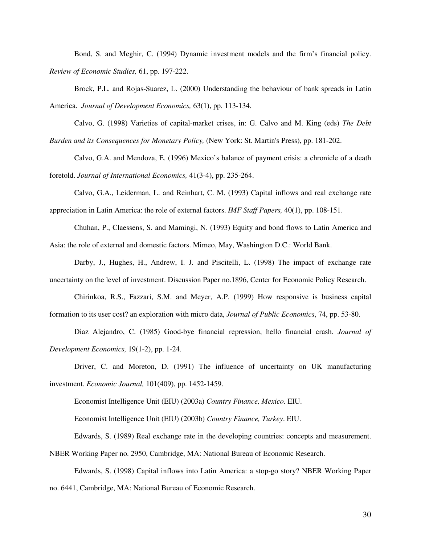Bond, S. and Meghir, C. (1994) Dynamic investment models and the firm's financial policy. *Review of Economic Studies,* 61, pp. 197-222.

Brock, P.L. and Rojas-Suarez, L. (2000) Understanding the behaviour of bank spreads in Latin America. *Journal of Development Economics,* 63(1), pp. 113-134.

Calvo, G. (1998) Varieties of capital-market crises, in: G. Calvo and M. King (eds) *The Debt Burden and its Consequences for Monetary Policy,* (New York: St. Martin's Press), pp. 181-202.

Calvo, G.A. and Mendoza, E. (1996) Mexico's balance of payment crisis: a chronicle of a death foretold. *Journal of International Economics,* 41(3-4), pp. 235-264.

Calvo, G.A., Leiderman, L. and Reinhart, C. M. (1993) Capital inflows and real exchange rate appreciation in Latin America: the role of external factors. *IMF Staff Papers,* 40(1), pp. 108-151.

Chuhan, P., Claessens, S. and Mamingi, N. (1993) Equity and bond flows to Latin America and Asia: the role of external and domestic factors. Mimeo, May, Washington D.C.: World Bank.

Darby, J., Hughes, H., Andrew, I. J. and Piscitelli, L. (1998) The impact of exchange rate uncertainty on the level of investment. Discussion Paper no.1896, Center for Economic Policy Research.

Chirinkoa, R.S., Fazzari, S.M. and Meyer, A.P. (1999) How responsive is business capital formation to its user cost? an exploration with micro data, *Journal of Public Economics*, 74, pp. 53-80.

Diaz Alejandro, C. (1985) Good-bye financial repression, hello financial crash. *Journal of Development Economics,* 19(1-2), pp. 1-24.

Driver, C. and Moreton, D. (1991) The influence of uncertainty on UK manufacturing investment. *Economic Journal,* 101(409), pp. 1452-1459.

Economist Intelligence Unit (EIU) (2003a) *Country Finance, Mexico.* EIU.

Economist Intelligence Unit (EIU) (2003b) *Country Finance, Turkey*. EIU.

Edwards, S. (1989) Real exchange rate in the developing countries: concepts and measurement.

NBER Working Paper no. 2950, Cambridge, MA: National Bureau of Economic Research.

Edwards, S. (1998) Capital inflows into Latin America: a stop-go story? NBER Working Paper no. 6441, Cambridge, MA: National Bureau of Economic Research.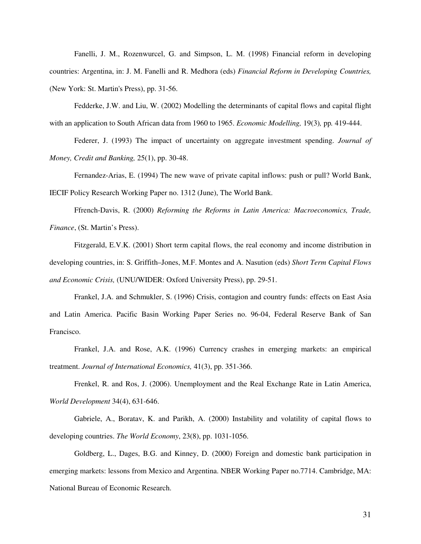Fanelli, J. M., Rozenwurcel, G. and Simpson, L. M. (1998) Financial reform in developing countries: Argentina, in: J. M. Fanelli and R. Medhora (eds) *Financial Reform in Developing Countries,* (New York: St. Martin's Press), pp. 31-56.

Fedderke, J.W. and Liu, W. (2002) Modelling the determinants of capital flows and capital flight with an application to South African data from 1960 to 1965. *Economic Modelling,* 19(3)*,* pp*.* 419-444.

Federer, J. (1993) The impact of uncertainty on aggregate investment spending. *Journal of Money, Credit and Banking,* 25(1), pp. 30-48.

Fernandez-Arias, E. (1994) The new wave of private capital inflows: push or pull? World Bank, IECIF Policy Research Working Paper no. 1312 (June), The World Bank.

Ffrench-Davis, R. (2000) *Reforming the Reforms in Latin America: Macroeconomics, Trade, Finance*, (St. Martin's Press).

Fitzgerald, E.V.K. (2001) Short term capital flows, the real economy and income distribution in developing countries, in: S. Griffith–Jones, M.F. Montes and A. Nasution (eds) *Short Term Capital Flows and Economic Crisis,* (UNU/WIDER: Oxford University Press), pp. 29-51.

Frankel, J.A. and Schmukler, S. (1996) Crisis, contagion and country funds: effects on East Asia and Latin America. Pacific Basin Working Paper Series no. 96-04, Federal Reserve Bank of San Francisco.

Frankel, J.A. and Rose, A.K. (1996) Currency crashes in emerging markets: an empirical treatment. *Journal of International Economics,* 41(3), pp. 351-366.

Frenkel, R. and Ros, J. (2006). Unemployment and the Real Exchange Rate in Latin America, *World Development* 34(4), 631-646.

Gabriele, A., Boratav, K. and Parikh, A. (2000) Instability and volatility of capital flows to developing countries. *The World Economy*, 23(8), pp. 1031-1056.

Goldberg, L., Dages, B.G. and Kinney, D. (2000) Foreign and domestic bank participation in emerging markets: lessons from Mexico and Argentina. NBER Working Paper no.7714. Cambridge, MA: National Bureau of Economic Research.

31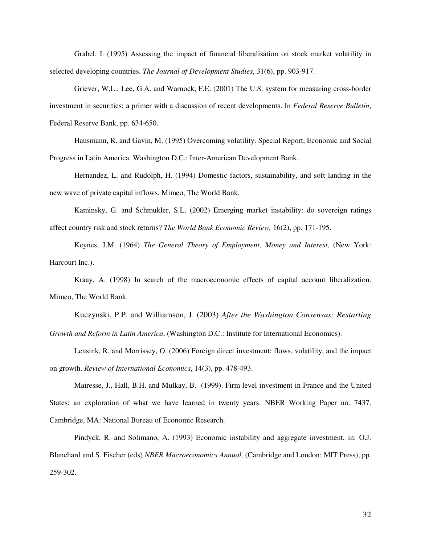Grabel, I. (1995) Assessing the impact of financial liberalisation on stock market volatility in selected developing countries. *The Journal of Development Studies*, 31(6), pp. 903-917.

Griever, W.L., Lee, G.A. and Warnock, F.E. (2001) The U.S. system for measuring cross-border investment in securities: a primer with a discussion of recent developments. In *Federal Reserve Bulletin*, Federal Reserve Bank, pp. 634-650.

Hausmann, R. and Gavin, M. (1995) Overcoming volatility. Special Report, Economic and Social Progress in Latin America. Washington D.C.: Inter-American Development Bank.

Hernandez, L. and Rudolph, H. (1994) Domestic factors, sustainability, and soft landing in the new wave of private capital inflows. Mimeo, The World Bank.

Kaminsky, G. and Schmukler, S.L. (2002) Emerging market instability: do sovereign ratings affect country risk and stock returns? *The World Bank Economic Review,* 16(2), pp. 171-195.

Keynes, J.M. (1964) *The General Theory of Employment, Money and Interest*, (New York: Harcourt Inc.).

Kraay, A. (1998) In search of the macroeconomic effects of capital account liberalization. Mimeo, The World Bank.

Kuczynski, P.P. and Williamson, J. (2003) *After the Washington Consensus: Restarting Growth and Reform in Latin America*, (Washington D.C.: Institute for International Economics).

Lensink, R. and Morrissey, O. (2006) Foreign direct investment: flows, volatility, and the impact on growth. *Review of International Economics*, 14(3), pp. 478-493.

Mairesse, J., Hall, B.H. and Mulkay, B. (1999). Firm level investment in France and the United States: an exploration of what we have learned in twenty years. NBER Working Paper no. 7437. Cambridge, MA: National Bureau of Economic Research.

Pindyck, R. and Solimano, A. (1993) Economic instability and aggregate investment, in: O.J. Blanchard and S. Fischer (eds) *NBER Macroeconomics Annual,* (Cambridge and London: MIT Press), pp. 259-302.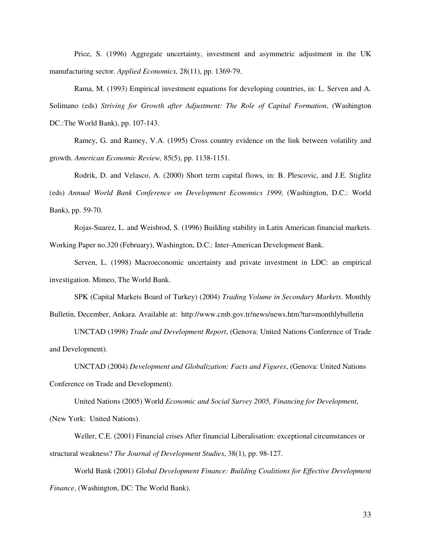Price, S. (1996) Aggregate uncertainty, investment and asymmetric adjustment in the UK manufacturing sector. *Applied Economics,* 28(11), pp. 1369-79.

Rama, M. (1993) Empirical investment equations for developing countries, in: L. Serven and A. Solimano (eds) *Striving for Growth after Adjustment: The Role of Capital Formation*, (Washington DC.:The World Bank), pp. 107-143.

Ramey, G. and Ramey, V.A. (1995) Cross country evidence on the link between volatility and growth. *American Economic Review,* 85(5), pp. 1138-1151.

Rodrik, D. and Velasco, A. (2000) Short term capital flows, in: B. Plescovic, and J.E. Stiglitz (eds) *Annual World Bank Conference on Development Economics 1999,* (Washington, D.C.: World Bank), pp. 59-70.

Rojas-Suarez, L. and Weisbrod, S. (1996) Building stability in Latin American financial markets. Working Paper no.320 (February), Washington, D.C.: Inter-American Development Bank.

Serven, L. (1998) Macroeconomic uncertainty and private investment in LDC: an empirical investigation. Mimeo, The World Bank.

SPK (Capital Markets Board of Turkey) (2004) *Trading Volume in Secondary Markets*. Monthly Bulletin, December, Ankara. Available at: http://www.cmb.gov.tr/news/news.htm?tur=monthlybulletin

UNCTAD (1998) *Trade and Development Report*, (Genova: United Nations Conference of Trade and Development).

UNCTAD (2004) *Development and Globalization: Facts and Figures*, (Genova: United Nations Conference on Trade and Development).

United Nations (2005) World *Economic and Social Survey 2005, Financing for Development*, (New York: United Nations).

Weller, C.E. (2001) Financial crises After financial Liberalisation: exceptional circumstances or structural weakness? *The Journal of Development Studies*, 38(1), pp. 98-127.

World Bank (2001) *Global Development Finance: Building Coalitions for Effective Development Finance*, (Washington, DC: The World Bank).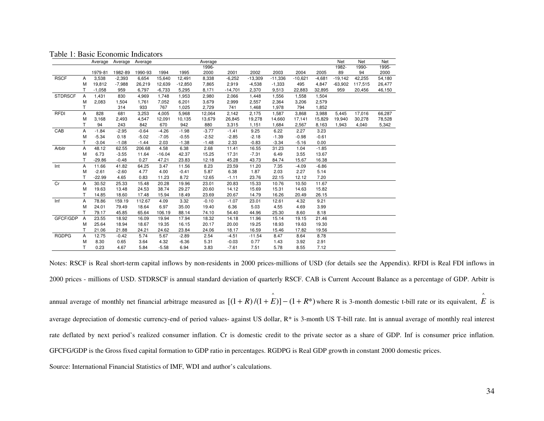Table 1: Basic Economic Indicators

|                |    | Average  | Average  | Average |          |           | Average |           |           |           |           |          | Net       | Net     | Net    |
|----------------|----|----------|----------|---------|----------|-----------|---------|-----------|-----------|-----------|-----------|----------|-----------|---------|--------|
|                |    |          |          |         |          |           | 1996-   |           |           |           |           |          | 1982-     | 1990-   | 1995-  |
|                |    | 1979-81  | 1982-89  | 1990-93 | 1994     | 1995      | 2000    | 2001      | 2002      | 2003      | 2004      | 2005     | 89        | 94      | 2000   |
| <b>RSCF</b>    | A  | 3,538    | $-2,393$ | 6,654   | 15,640   | 12,491    | 8,338   | $-6,252$  | $-13,309$ | $-11,336$ | $-10,621$ | $-4,681$ | $-19,142$ | 42,255  | 54,180 |
|                | M  | 19,812   | $-7,988$ | 26,219  | 12,639   | $-12,850$ | 7,865   | 2,919     | $-4,538$  | $-1,333$  | 495       | 4,847    | $-63,902$ | 117,515 | 26,477 |
|                |    | $-1,058$ | 959      | 6,797   | $-6,733$ | 5,295     | 8.171   | $-14,701$ | 2,370     | 9,513     | 22,883    | 32,895   | 959       | 20,456  | 46,150 |
| <b>STDRSCF</b> | A  | 1,431    | 830      | 4,969   | 1,748    | 1,953     | 2,980   | 2,066     | 1,448     | 1,556     | 1,558     | 1,504    |           |         |        |
|                | M  | 2,083    | 1,504    | 1,761   | 7,052    | 6,201     | 3,679   | 2,999     | 2,557     | 2,364     | 3,206     | 2,579    |           |         |        |
|                | Т  |          | 314      | 933     | 767      | 1,025     | 2,729   | 741       | 1,468     | 1,978     | 794       | 1,852    |           |         |        |
| <b>RFDI</b>    | Α  | 828      | 681      | 3,253   | 4,005    | 5,968     | 12,064  | 2,142     | 2,175     | 1,587     | 3,868     | 3,988    | 5,445     | 17,016  | 66,287 |
|                | M  | 3,168    | 2,493    | 4,547   | 12,091   | 10,135    | 13,679  | 26,845    | 19,278    | 14,660    | 17,141    | 15,829   | 19,940    | 30,278  | 78,528 |
|                |    | 94       | 243      | 842     | 670      | 942       | 880     | 3,315     | 1,151     | 1,684     | 2,567     | 8,163    | 1,943     | 4,040   | 5,342  |
| CAB            | Α  | $-1.84$  | $-2.95$  | $-0.64$ | $-4.26$  | $-1.98$   | $-3.77$ | $-1.41$   | 9.25      | 6.22      | 2.27      | 3.23     |           |         |        |
|                | M  | $-5.34$  | 0.18     | $-5.02$ | $-7.05$  | $-0.55$   | $-2.52$ | $-2.85$   | $-2.18$   | $-1.39$   | $-0.98$   | $-0.61$  |           |         |        |
|                | T  | $-3.04$  | $-1.08$  | $-1.44$ | 2.03     | $-1.38$   | $-1.48$ | 2.33      | $-0.83$   | $-3.34$   | $-5.16$   | 0.00     |           |         |        |
| Arbitr         | Α  | 48.12    | 62.55    | 206.68  | 4.58     | 6.38      | 2.68    | 11.41     | 16.55     | 31.23     | 1.04      | $-1.85$  |           |         |        |
|                | M  | 6.73     | $-3.55$  | 11.64   | $-16.04$ | 42.37     | 15.25   | 17.31     | $-7.31$   | 6.49      | 3.55      | 13.67    |           |         |        |
|                | т  | $-29.86$ | $-0.48$  | 0.27    | 47.21    | 23.83     | 12.18   | 45.28     | 43.73     | 84.74     | 15.67     | 16.38    |           |         |        |
| Int            | Α  | 11.66    | 41.82    | 64.25   | 3.47     | 11.56     | 8.23    | 23.59     | 11.20     | 7.35      | $-4.09$   | $-6.86$  |           |         |        |
|                | M  | $-2.61$  | $-2.60$  | 4.77    | 4.00     | $-0.41$   | 5.87    | 6.38      | 1.87      | 2.03      | 2.27      | 5.14     |           |         |        |
|                | т  | $-22.99$ | 4.65     | 0.83    | 11.23    | 8.72      | 12.65   | $-1.11$   | 23.76     | 22.15     | 12.12     | 7.20     |           |         |        |
| Cr             | Α  | 30.52    | 25.33    | 15.48   | 20.28    | 19.96     | 23.01   | 20.83     | 15.33     | 10.76     | 10.50     | 11.67    |           |         |        |
|                | M  | 19.63    | 13.48    | 24.53   | 38.74    | 29.27     | 20.60   | 14.12     | 15.69     | 15.31     | 14.63     | 15.82    |           |         |        |
|                |    | 14.85    | 18.60    | 17.48   | 15.94    | 18.49     | 23.69   | 20.67     | 14.79     | 16.26     | 20.49     | 26.15    |           |         |        |
| Inf            | A  | 78.86    | 159.19   | 112.67  | 4.09     | 3.32      | $-0.10$ | $-1.07$   | 23.01     | 12.61     | 4.32      | 9.21     |           |         |        |
|                | M  | 24.01    | 79.49    | 18.64   | 6.97     | 35.00     | 19.40   | 6.36      | 5.03      | 4.55      | 4.69      | 3.99     |           |         |        |
|                |    | 79.17    | 45.85    | 65.64   | 106.19   | 88.14     | 74.10   | 54.40     | 44.96     | 25.30     | 8.60      | 8.18     |           |         |        |
| GFCF/GDP       | A  | 23.55    | 18.92    | 16.09   | 19.94    | 17.94     | 18.32   | 14.18     | 11.96     | 15.14     | 19.15     | 21.46    |           |         |        |
|                | M  | 25.64    | 18.94    | 18.67   | 19.35    | 16.15     | 20.17   | 20.00     | 19.25     | 18.93     | 19.63     | 19.30    |           |         |        |
|                |    | 21.06    | 21.88    | 24.21   | 24.62    | 23.84     | 24.06   | 18.17     | 16.59     | 15.46     | 17.82     | 19.56    |           |         |        |
| <b>RGDPG</b>   | Α  | 12.75    | $-0.42$  | 5.74    | 5.67     | $-2.89$   | 2.54    | $-4.51$   | $-11.54$  | 8.47      | 8.64      | 8.78     |           |         |        |
|                | M  | 8.30     | 0.65     | 3.64    | 4.32     | $-6.36$   | 5.31    | $-0.03$   | 0.77      | 1.43      | 3.92      | 2.91     |           |         |        |
|                | T. | 0.23     | 4.67     | 5.84    | $-5.58$  | 6.94      | 3.83    | $-7.61$   | 7.51      | 5.78      | 8.55      | 7.12     |           |         |        |

Notes: RSCF is Real short-term capital inflows by non-residents in 2000 prices-millions of USD (for details see the Appendix). RFDI is Real FDI inflows in 2000 prices - millions of USD. STDRSCF is annual standard deviation of quarterly RSCF. CAB is Current Account Balance as a percentage of GDP. Arbitr is annual average of monthly net financial arbitrage measured as  $[(1 + R)/(1 + \mathring{E})] - (1 + R^*)$  where R is 3-month domestic t-bill rate or its equivalent,  $\mathring{E}$  is average depreciation of domestic currency-end of period values- against US dollar, R\* is 3-month US T-bill rate. Int is annual average of monthly real interest rate deflated by next period's realized consumer inflation. Cr is domestic credit to the private sector as a share of GDP. Inf is consumer price inflation. GFCFG/GDP is the Gross fixed capital formation to GDP ratio in percentages. RGDPG is Real GDP growth in constant 2000 domestic prices.

Source: International Financial Statistics of IMF, WDI and author's calculations.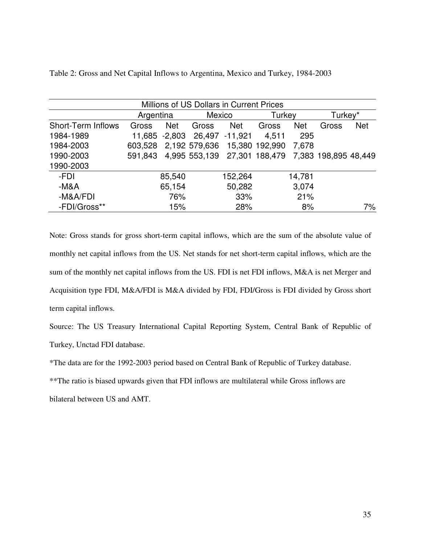|                           |           |            | Millions of US Dollars in Current Prices          |                |        |            |         |            |
|---------------------------|-----------|------------|---------------------------------------------------|----------------|--------|------------|---------|------------|
|                           | Argentina |            | Mexico                                            |                | Turkey |            | Turkey* |            |
| <b>Short-Term Inflows</b> | Gross     | <b>Net</b> | Gross                                             | <b>Net</b>     | Gross  | <b>Net</b> | Gross   | <b>Net</b> |
| 1984-1989                 | 11,685    | -2,803     |                                                   | 26,497 -11,921 | 4,511  | 295        |         |            |
| 1984-2003                 | 603,528   |            | 2,192 579,636 15,380 192,990                      |                |        | 7,678      |         |            |
| 1990-2003                 | 591,843   |            | 4,995 553,139 27,301 188,479 7,383 198,895 48,449 |                |        |            |         |            |
| 1990-2003                 |           |            |                                                   |                |        |            |         |            |
| -FDI                      |           | 85,540     |                                                   | 152,264        |        | 14,781     |         |            |
| $-M&A$                    |           | 65,154     |                                                   | 50,282         |        | 3,074      |         |            |
| -M&A/FDI                  |           | 76%        |                                                   | 33%            |        | 21%        |         |            |
| -FDI/Gross**              |           | 15%        |                                                   | 28%            |        | 8%         |         | 7%         |

Table 2: Gross and Net Capital Inflows to Argentina, Mexico and Turkey, 1984-2003

Note: Gross stands for gross short-term capital inflows, which are the sum of the absolute value of monthly net capital inflows from the US. Net stands for net short-term capital inflows, which are the sum of the monthly net capital inflows from the US. FDI is net FDI inflows, M&A is net Merger and Acquisition type FDI, M&A/FDI is M&A divided by FDI, FDI/Gross is FDI divided by Gross short term capital inflows.

Source: The US Treasury International Capital Reporting System, Central Bank of Republic of Turkey, Unctad FDI database.

\*The data are for the 1992-2003 period based on Central Bank of Republic of Turkey database.

\*\*The ratio is biased upwards given that FDI inflows are multilateral while Gross inflows are

bilateral between US and AMT.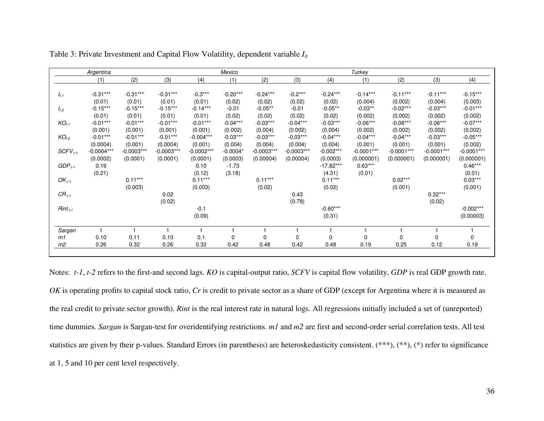|                | Argentina    |              |              |              | Mexico     |              |              |             | Turkey       |              |              |              |
|----------------|--------------|--------------|--------------|--------------|------------|--------------|--------------|-------------|--------------|--------------|--------------|--------------|
|                | (1)          | (2)          | (3)          | (4)          | (1)        | (2)          | (3)          | (4)         | (1)          | (2)          | (3)          | (4)          |
|                | $-0.31***$   | $-0.31***$   | $-0.31***$   | $-0.3***$    | $-0.20***$ | $-0.24***$   | $-0.2***$    | $-0.24***$  | $-0.14***$   | $-0.11***$   | $-0.11***$   | $-0.15***$   |
| $I_{t-1}$      | (0.01)       | (0.01)       | (0.01)       | (0.01)       | (0.02)     | (0.02)       | (0.02)       | (0.02)      | (0.004)      | (0.002)      | (0.004)      | (0.003)      |
| $I_{t-2}$      | $-0.15***$   | $-0.15***$   | $-0.15***$   | $-0.14***$   | $-0.01$    | $-0.05**$    | $-0.01$      | $-0.05**$   | $-0.03**$    | $-0.02***$   | $-0.03***$   | $-0.01***$   |
|                | (0.01)       | (0.01)       | (0.01)       | (0.01)       | (0.02)     | (0.02)       | (0.02)       | (0.02)      | (0.002)      | (0.002)      | (0.002)      | (0.002)      |
| $KO_{t-1}$     | $-0.01***$   | $-0.01***$   | $-0.01***$   | $-0.01***$   | $-0.04***$ | $-0.03***$   | $-0.04***$   | $-0.03***$  | $-0.06***$   | $-0.08***$   | $-0.06***$   | $-0.07***$   |
|                | (0.001)      | (0.001)      | (0.001)      | (0.001)      | (0.002)    | (0.004)      | (0.002)      | (0.004)     | (0.002)      | (0.002)      | (0.002)      | (0.002)      |
| $KO_{t-2}$     | $-0.01***$   | $-0.01***$   | $-0.01***$   | $-0.004***$  | $-0.03***$ | $-0.03***$   | $-0.03***$   | $-0.04***$  | $-0.04***$   | $-0.04***$   | $-0.03***$   | $-0.05***$   |
|                | (0.0004)     | (0.001)      | (0.0004)     | (0.001)      | (0.004)    | (0.004)      | (0.004)      | (0.004)     | (0.001)      | (0.001)      | (0.001)      | (0.002)      |
| $SCFV_{t-1}$   | $-0.0004***$ | $-0.0003***$ | $-0.0003***$ | $-0.0002***$ | $-0.0004*$ | $-0.0003***$ | $-0.0003***$ | $-0.002***$ | $-0.0001***$ | $-0.0001***$ | $-0.0001***$ | $-0.0001***$ |
|                | (0.0002)     | (0.0001)     | (0.0001)     | (0.0001)     | (0.0003)   | (0.00004)    | (0.00004)    | (0.0003)    | (0.000001)   | (0.000001)   | (0.000001)   | (0.000001)   |
| $GDP_{t-1}$    | 0.19         |              |              | 0.10         | $-1.73$    |              |              | $-17.82***$ | $0.63***$    |              |              | $0.46***$    |
|                | (0.21)       |              |              | (0.12)       | (3.18)     |              |              | (4.31)      | (0.01)       |              |              | (0.01)       |
| $OK_{t-1}$     |              | $0.11***$    |              | $0.11***$    |            | $0.11***$    |              | $0.11***$   |              | $0.02***$    |              | $0.03***$    |
|                |              | (0.003)      |              | (0.003)      |            | (0.02)       |              | (0.02)      |              | (0.001)      |              | (0.001)      |
| $CR_{t-1}$     |              |              | 0.02         |              |            |              | 0.43         |             |              |              | $0.32***$    |              |
|                |              |              | (0.02)       |              |            |              | (0.78)       |             |              |              | (0.02)       |              |
| $Rint_{t-1}$   |              |              |              | $-0.1$       |            |              |              | $-0.60***$  |              |              |              | $-0.002***$  |
|                |              |              |              | (0.09)       |            |              |              | (0.31)      |              |              |              | (0.00003)    |
| Sargan         |              |              |              |              |            |              |              |             |              |              |              |              |
| m1             | 0.10         | 0.11         | 0.10         | 0.1          | $\Omega$   | $\Omega$     | 0            | 0           | $\Omega$     | 0            | 0            | $\Omega$     |
| m <sub>2</sub> | 0.26         | 0.32         | 0.26         | 0.32         | 0.42       | 0.48         | 0.42         | 0.48        | 0.19         | 0.25         | 0.12         | 0.19         |

Table 3: Private Investment and Capital Flow Volatility, dependent variable *Iit* 

Notes: *t-1*, *t-2* refers to the first-and second lags. *KO* is capital-output ratio, *SCFV* is capital flow volatility, *GDP* is real GDP growth rate. *OK* is operating profits to capital stock ratio, *Cr* is credit to private sector as a share of GDP (except for Argentina where it is measured as the real credit to private sector growth). *Rint* is the real interest rate in natural logs. All regressions initially included a set of (unreported) time dummies. *Sargan* is Sargan-test for overidentifying restrictions. *m1* and *m2* are first and second-order serial correlation tests. All test statistics are given by their p-values. Standard Errors (in parenthesis) are heteroskedasticity consistent. (\*\*\*), (\*), (\*) refer to significance at 1, 5 and 10 per cent level respectively.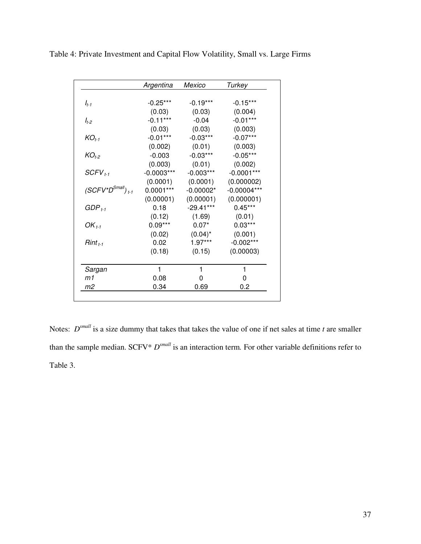|                                  | Argentina    | Mexico      | Turkey        |
|----------------------------------|--------------|-------------|---------------|
|                                  |              |             |               |
| $I_{t-1}$                        | $-0.25***$   | $-0.19***$  | $-0.15***$    |
|                                  | (0.03)       | (0.03)      | (0.004)       |
| $I_{t-2}$                        | $-0.11***$   | $-0.04$     | $-0.01***$    |
|                                  | (0.03)       | (0.03)      | (0.003)       |
| $KO_{t-1}$                       | $-0.01***$   | $-0.03***$  | $-0.07***$    |
|                                  | (0.002)      | (0.01)      | (0.003)       |
| $KO_{t-2}$                       | $-0.003$     | $-0.03***$  | $-0.05***$    |
|                                  | (0.003)      | (0.01)      | (0.002)       |
| $SCFV_{t-1}$                     | $-0.0003***$ | $-0.003***$ | $-0.0001***$  |
|                                  | (0.0001)     | (0.0001)    | (0.000002)    |
| $(SCFV^*D^{Small})_{t\text{-}1}$ | $0.0001***$  | $-0.00002*$ | $-0.00004***$ |
|                                  | (0.00001)    | (0.00001)   | (0.000001)    |
| GDP $_{t\text{-}1}$              | 0.18         | $-29.41***$ | $0.45***$     |
|                                  | (0.12)       | (1.69)      | (0.01)        |
| OK $_{t-1}$                      | $0.09***$    | $0.07*$     | $0.03***$     |
|                                  | (0.02)       | $(0.04)^*$  | (0.001)       |
| $Rint_{t-1}$                     | 0.02         | 1.97***     | $-0.002***$   |
|                                  | (0.18)       | (0.15)      | (0.00003)     |
| Sargan                           | 1            | 1           | 1             |
| m1                               | 0.08         | 0           | 0             |
| m2                               | 0.34         | 0.69        | 0.2           |

Table 4: Private Investment and Capital Flow Volatility, Small vs. Large Firms

Notes:  $D^{small}$  is a size dummy that takes that takes the value of one if net sales at time *t* are smaller than the sample median. SCFV\* *Dsmall* is an interaction term*.* For other variable definitions refer to Table 3.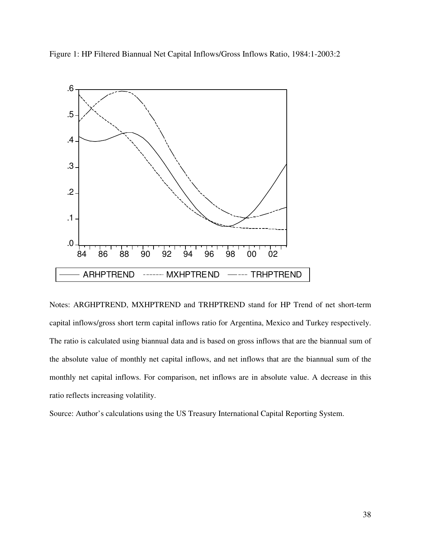Figure 1: HP Filtered Biannual Net Capital Inflows/Gross Inflows Ratio, 1984:1-2003:2



Notes: ARGHPTREND, MXHPTREND and TRHPTREND stand for HP Trend of net short-term capital inflows/gross short term capital inflows ratio for Argentina, Mexico and Turkey respectively. The ratio is calculated using biannual data and is based on gross inflows that are the biannual sum of the absolute value of monthly net capital inflows, and net inflows that are the biannual sum of the monthly net capital inflows. For comparison, net inflows are in absolute value. A decrease in this ratio reflects increasing volatility.

Source: Author's calculations using the US Treasury International Capital Reporting System.